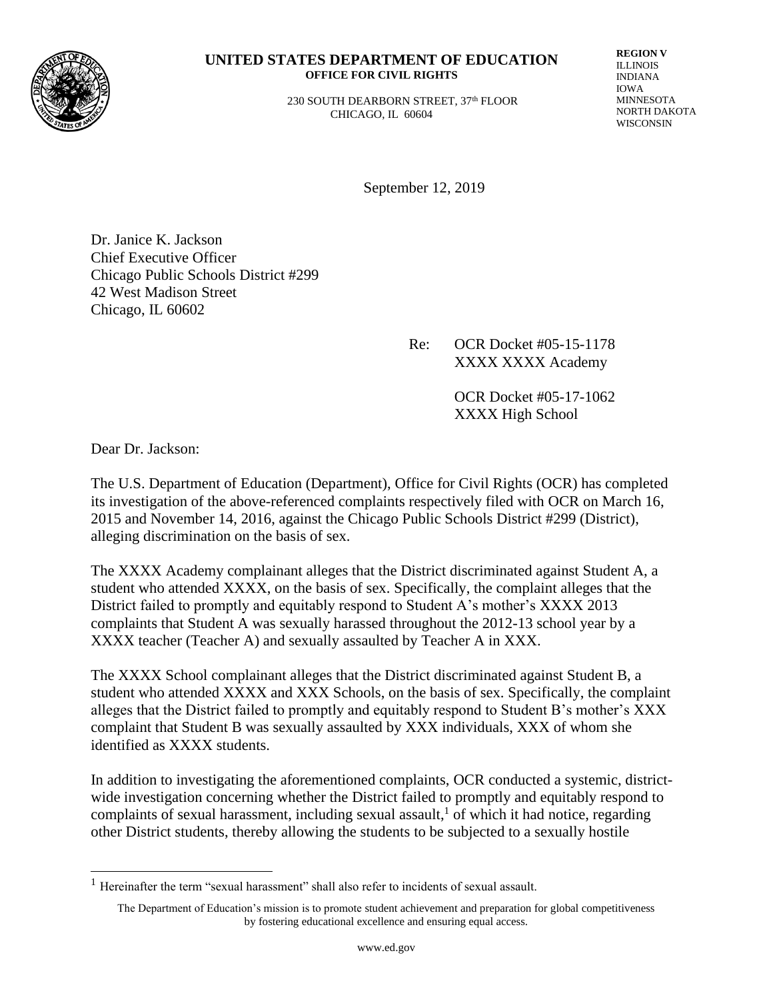

#### **UNITED STATES DEPARTMENT OF EDUCATION OFFICE FOR CIVIL RIGHTS**

 230 SOUTH DEARBORN STREET, 37th FLOOR CHICAGO, IL 60604

**REGION V** ILLINOIS INDIANA IOWA MINNESOTA NORTH DAKOTA WISCONSIN

September 12, 2019

Dr. Janice K. Jackson Chief Executive Officer Chicago Public Schools District #299 42 West Madison Street Chicago, IL 60602

> Re: OCR Docket #05-15-1178 XXXX XXXX Academy

> > OCR Docket #05-17-1062 XXXX High School

Dear Dr. Jackson:

The U.S. Department of Education (Department), Office for Civil Rights (OCR) has completed its investigation of the above-referenced complaints respectively filed with OCR on March 16, 2015 and November 14, 2016, against the Chicago Public Schools District #299 (District), alleging discrimination on the basis of sex.

The XXXX Academy complainant alleges that the District discriminated against Student A, a student who attended XXXX, on the basis of sex. Specifically, the complaint alleges that the District failed to promptly and equitably respond to Student A's mother's XXXX 2013 complaints that Student A was sexually harassed throughout the 2012-13 school year by a XXXX teacher (Teacher A) and sexually assaulted by Teacher A in XXX.

The XXXX School complainant alleges that the District discriminated against Student B, a student who attended XXXX and XXX Schools, on the basis of sex. Specifically, the complaint alleges that the District failed to promptly and equitably respond to Student B's mother's XXX complaint that Student B was sexually assaulted by XXX individuals, XXX of whom she identified as XXXX students.

In addition to investigating the aforementioned complaints, OCR conducted a systemic, districtwide investigation concerning whether the District failed to promptly and equitably respond to complaints of sexual harassment, including sexual assault,<sup>1</sup> of which it had notice, regarding other District students, thereby allowing the students to be subjected to a sexually hostile

 $1$  Hereinafter the term "sexual harassment" shall also refer to incidents of sexual assault.

The Department of Education's mission is to promote student achievement and preparation for global competitiveness by fostering educational excellence and ensuring equal access.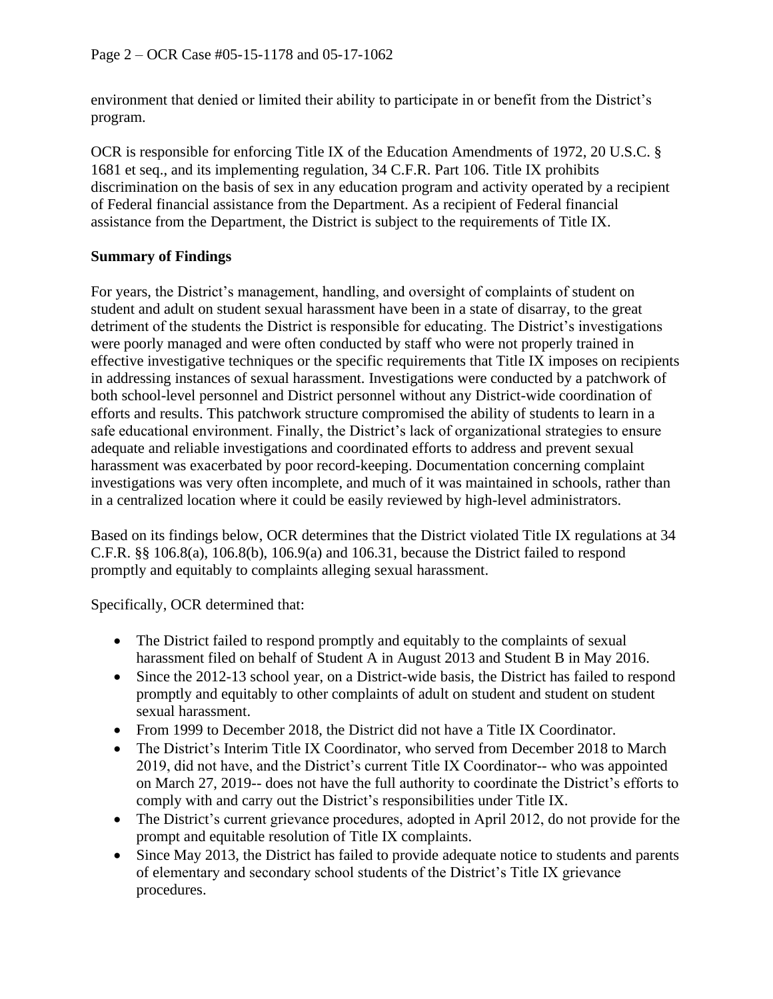environment that denied or limited their ability to participate in or benefit from the District's program.

OCR is responsible for enforcing Title IX of the Education Amendments of 1972, 20 U.S.C. § 1681 et seq., and its implementing regulation, 34 C.F.R. Part 106. Title IX prohibits discrimination on the basis of sex in any education program and activity operated by a recipient of Federal financial assistance from the Department. As a recipient of Federal financial assistance from the Department, the District is subject to the requirements of Title IX.

### **Summary of Findings**

For years, the District's management, handling, and oversight of complaints of student on student and adult on student sexual harassment have been in a state of disarray, to the great detriment of the students the District is responsible for educating. The District's investigations were poorly managed and were often conducted by staff who were not properly trained in effective investigative techniques or the specific requirements that Title IX imposes on recipients in addressing instances of sexual harassment. Investigations were conducted by a patchwork of both school-level personnel and District personnel without any District-wide coordination of efforts and results. This patchwork structure compromised the ability of students to learn in a safe educational environment. Finally, the District's lack of organizational strategies to ensure adequate and reliable investigations and coordinated efforts to address and prevent sexual harassment was exacerbated by poor record-keeping. Documentation concerning complaint investigations was very often incomplete, and much of it was maintained in schools, rather than in a centralized location where it could be easily reviewed by high-level administrators.

Based on its findings below, OCR determines that the District violated Title IX regulations at 34 C.F.R. §§ 106.8(a), 106.8(b), 106.9(a) and 106.31, because the District failed to respond promptly and equitably to complaints alleging sexual harassment.

Specifically, OCR determined that:

- The District failed to respond promptly and equitably to the complaints of sexual harassment filed on behalf of Student A in August 2013 and Student B in May 2016.
- Since the 2012-13 school year, on a District-wide basis, the District has failed to respond promptly and equitably to other complaints of adult on student and student on student sexual harassment.
- From 1999 to December 2018, the District did not have a Title IX Coordinator.
- The District's Interim Title IX Coordinator, who served from December 2018 to March 2019, did not have, and the District's current Title IX Coordinator-- who was appointed on March 27, 2019-- does not have the full authority to coordinate the District's efforts to comply with and carry out the District's responsibilities under Title IX.
- The District's current grievance procedures, adopted in April 2012, do not provide for the prompt and equitable resolution of Title IX complaints.
- Since May 2013, the District has failed to provide adequate notice to students and parents of elementary and secondary school students of the District's Title IX grievance procedures.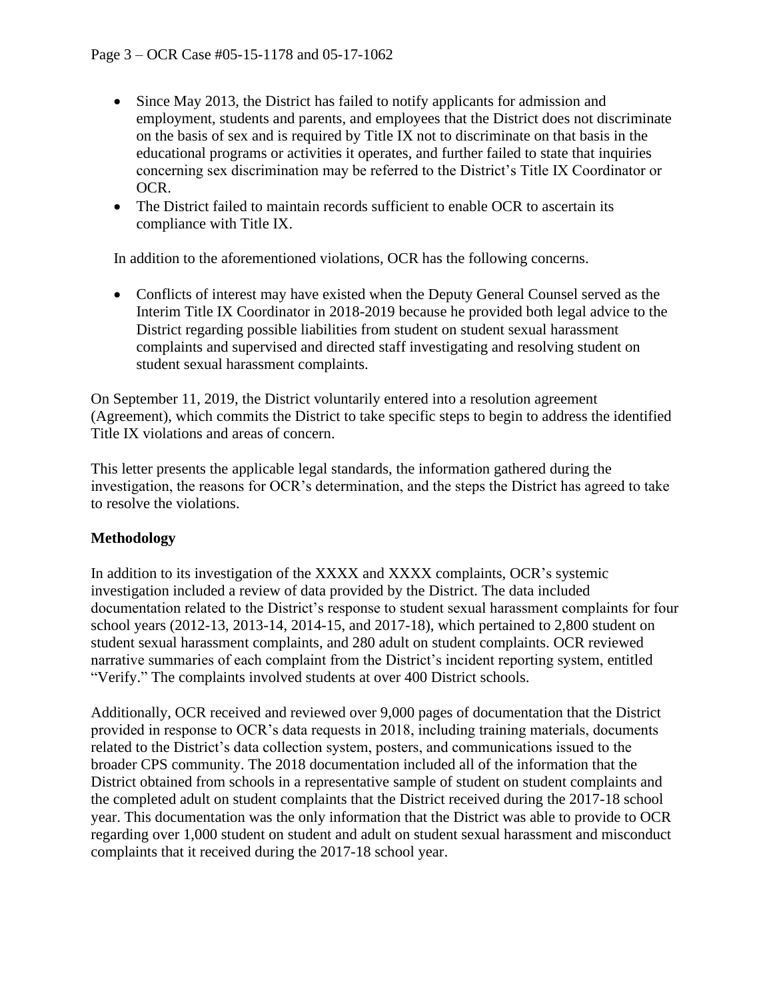- Since May 2013, the District has failed to notify applicants for admission and employment, students and parents, and employees that the District does not discriminate on the basis of sex and is required by Title IX not to discriminate on that basis in the educational programs or activities it operates, and further failed to state that inquiries concerning sex discrimination may be referred to the District's Title IX Coordinator or OCR.
- The District failed to maintain records sufficient to enable OCR to ascertain its compliance with Title IX.

In addition to the aforementioned violations, OCR has the following concerns.

• Conflicts of interest may have existed when the Deputy General Counsel served as the Interim Title IX Coordinator in 2018-2019 because he provided both legal advice to the District regarding possible liabilities from student on student sexual harassment complaints and supervised and directed staff investigating and resolving student on student sexual harassment complaints.

On September 11, 2019, the District voluntarily entered into a resolution agreement (Agreement), which commits the District to take specific steps to begin to address the identified Title IX violations and areas of concern.

This letter presents the applicable legal standards, the information gathered during the investigation, the reasons for OCR's determination, and the steps the District has agreed to take to resolve the violations.

#### **Methodology**

In addition to its investigation of the XXXX and XXXX complaints, OCR's systemic investigation included a review of data provided by the District. The data included documentation related to the District's response to student sexual harassment complaints for four school years (2012-13, 2013-14, 2014-15, and 2017-18), which pertained to 2,800 student on student sexual harassment complaints, and 280 adult on student complaints. OCR reviewed narrative summaries of each complaint from the District's incident reporting system, entitled "Verify." The complaints involved students at over 400 District schools.

Additionally, OCR received and reviewed over 9,000 pages of documentation that the District provided in response to OCR's data requests in 2018, including training materials, documents related to the District's data collection system, posters, and communications issued to the broader CPS community. The 2018 documentation included all of the information that the District obtained from schools in a representative sample of student on student complaints and the completed adult on student complaints that the District received during the 2017-18 school year. This documentation was the only information that the District was able to provide to OCR regarding over 1,000 student on student and adult on student sexual harassment and misconduct complaints that it received during the 2017-18 school year.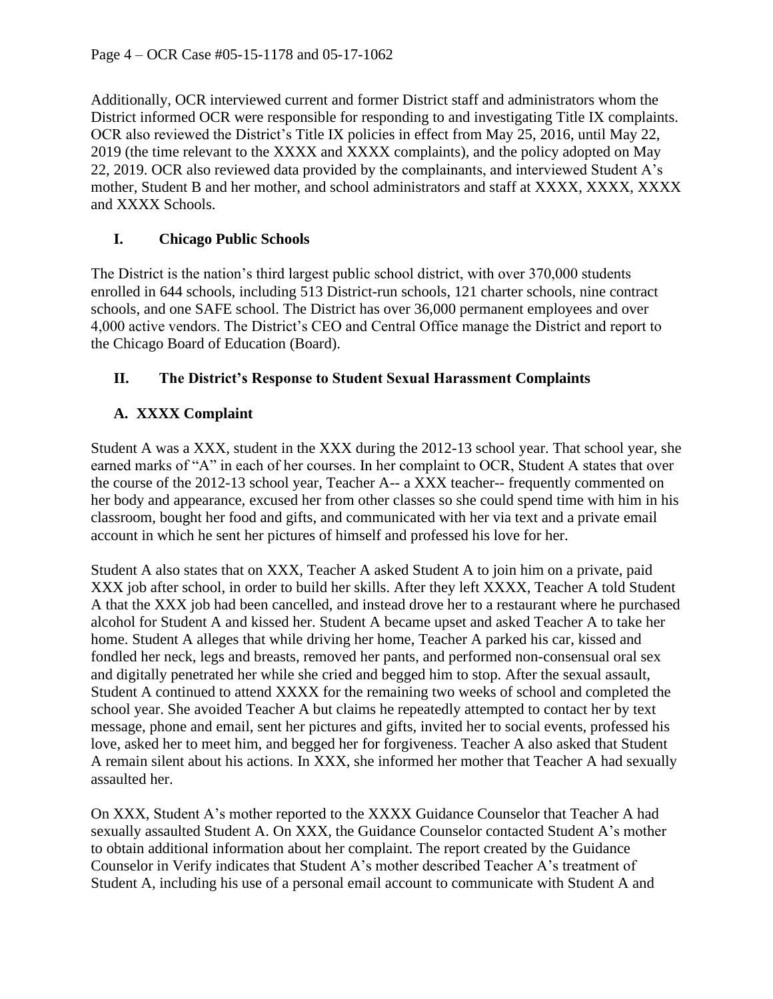Additionally, OCR interviewed current and former District staff and administrators whom the District informed OCR were responsible for responding to and investigating Title IX complaints. OCR also reviewed the District's Title IX policies in effect from May 25, 2016, until May 22, 2019 (the time relevant to the XXXX and XXXX complaints), and the policy adopted on May 22, 2019. OCR also reviewed data provided by the complainants, and interviewed Student A's mother, Student B and her mother, and school administrators and staff at XXXX, XXXX, XXXX and XXXX Schools.

### **I. Chicago Public Schools**

The District is the nation's third largest public school district, with over 370,000 students enrolled in 644 schools, including 513 District-run schools, 121 charter schools, nine contract schools, and one SAFE school. The District has over 36,000 permanent employees and over 4,000 active vendors. The District's CEO and Central Office manage the District and report to the Chicago Board of Education (Board).

# **II. The District's Response to Student Sexual Harassment Complaints**

# **A. XXXX Complaint**

Student A was a XXX, student in the XXX during the 2012-13 school year. That school year, she earned marks of "A" in each of her courses. In her complaint to OCR, Student A states that over the course of the 2012-13 school year, Teacher A-- a XXX teacher-- frequently commented on her body and appearance, excused her from other classes so she could spend time with him in his classroom, bought her food and gifts, and communicated with her via text and a private email account in which he sent her pictures of himself and professed his love for her.

Student A also states that on XXX, Teacher A asked Student A to join him on a private, paid XXX job after school, in order to build her skills. After they left XXXX, Teacher A told Student A that the XXX job had been cancelled, and instead drove her to a restaurant where he purchased alcohol for Student A and kissed her. Student A became upset and asked Teacher A to take her home. Student A alleges that while driving her home, Teacher A parked his car, kissed and fondled her neck, legs and breasts, removed her pants, and performed non-consensual oral sex and digitally penetrated her while she cried and begged him to stop. After the sexual assault, Student A continued to attend XXXX for the remaining two weeks of school and completed the school year. She avoided Teacher A but claims he repeatedly attempted to contact her by text message, phone and email, sent her pictures and gifts, invited her to social events, professed his love, asked her to meet him, and begged her for forgiveness. Teacher A also asked that Student A remain silent about his actions. In XXX, she informed her mother that Teacher A had sexually assaulted her.

On XXX, Student A's mother reported to the XXXX Guidance Counselor that Teacher A had sexually assaulted Student A. On XXX, the Guidance Counselor contacted Student A's mother to obtain additional information about her complaint. The report created by the Guidance Counselor in Verify indicates that Student A's mother described Teacher A's treatment of Student A, including his use of a personal email account to communicate with Student A and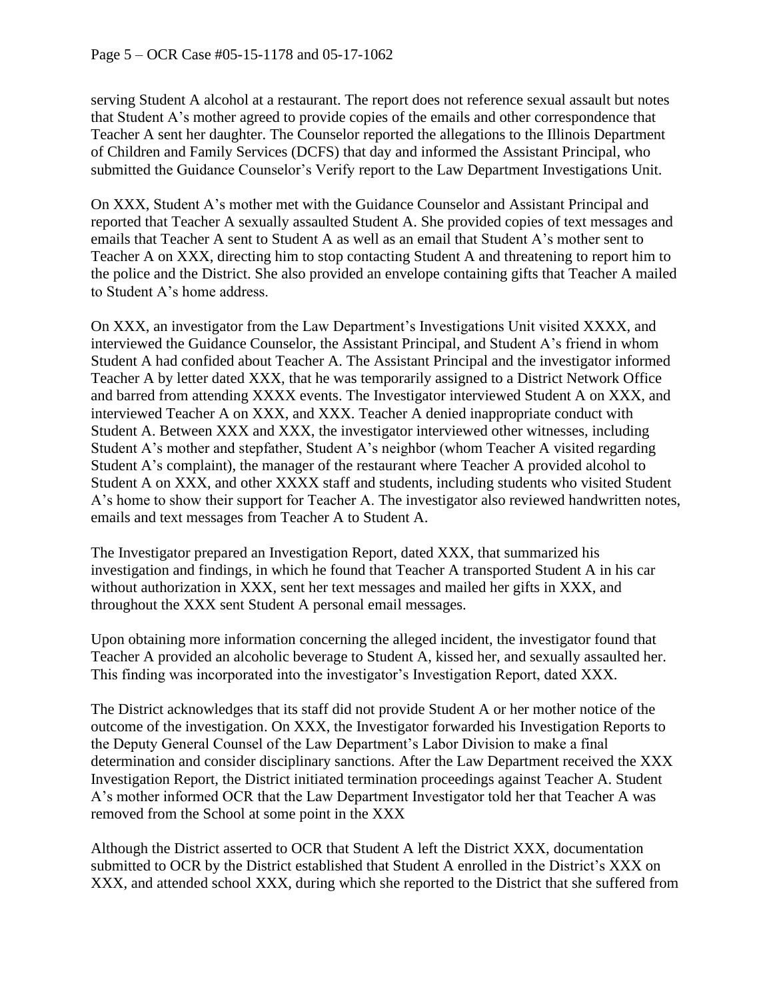serving Student A alcohol at a restaurant. The report does not reference sexual assault but notes that Student A's mother agreed to provide copies of the emails and other correspondence that Teacher A sent her daughter. The Counselor reported the allegations to the Illinois Department of Children and Family Services (DCFS) that day and informed the Assistant Principal, who submitted the Guidance Counselor's Verify report to the Law Department Investigations Unit.

On XXX, Student A's mother met with the Guidance Counselor and Assistant Principal and reported that Teacher A sexually assaulted Student A. She provided copies of text messages and emails that Teacher A sent to Student A as well as an email that Student A's mother sent to Teacher A on XXX, directing him to stop contacting Student A and threatening to report him to the police and the District. She also provided an envelope containing gifts that Teacher A mailed to Student A's home address.

On XXX, an investigator from the Law Department's Investigations Unit visited XXXX, and interviewed the Guidance Counselor, the Assistant Principal, and Student A's friend in whom Student A had confided about Teacher A. The Assistant Principal and the investigator informed Teacher A by letter dated XXX, that he was temporarily assigned to a District Network Office and barred from attending XXXX events. The Investigator interviewed Student A on XXX, and interviewed Teacher A on XXX, and XXX. Teacher A denied inappropriate conduct with Student A. Between XXX and XXX, the investigator interviewed other witnesses, including Student A's mother and stepfather, Student A's neighbor (whom Teacher A visited regarding Student A's complaint), the manager of the restaurant where Teacher A provided alcohol to Student A on XXX, and other XXXX staff and students, including students who visited Student A's home to show their support for Teacher A. The investigator also reviewed handwritten notes, emails and text messages from Teacher A to Student A.

The Investigator prepared an Investigation Report, dated XXX, that summarized his investigation and findings, in which he found that Teacher A transported Student A in his car without authorization in XXX, sent her text messages and mailed her gifts in XXX, and throughout the XXX sent Student A personal email messages.

Upon obtaining more information concerning the alleged incident, the investigator found that Teacher A provided an alcoholic beverage to Student A, kissed her, and sexually assaulted her. This finding was incorporated into the investigator's Investigation Report, dated XXX.

The District acknowledges that its staff did not provide Student A or her mother notice of the outcome of the investigation. On XXX, the Investigator forwarded his Investigation Reports to the Deputy General Counsel of the Law Department's Labor Division to make a final determination and consider disciplinary sanctions. After the Law Department received the XXX Investigation Report, the District initiated termination proceedings against Teacher A. Student A's mother informed OCR that the Law Department Investigator told her that Teacher A was removed from the School at some point in the XXX

Although the District asserted to OCR that Student A left the District XXX, documentation submitted to OCR by the District established that Student A enrolled in the District's XXX on XXX, and attended school XXX, during which she reported to the District that she suffered from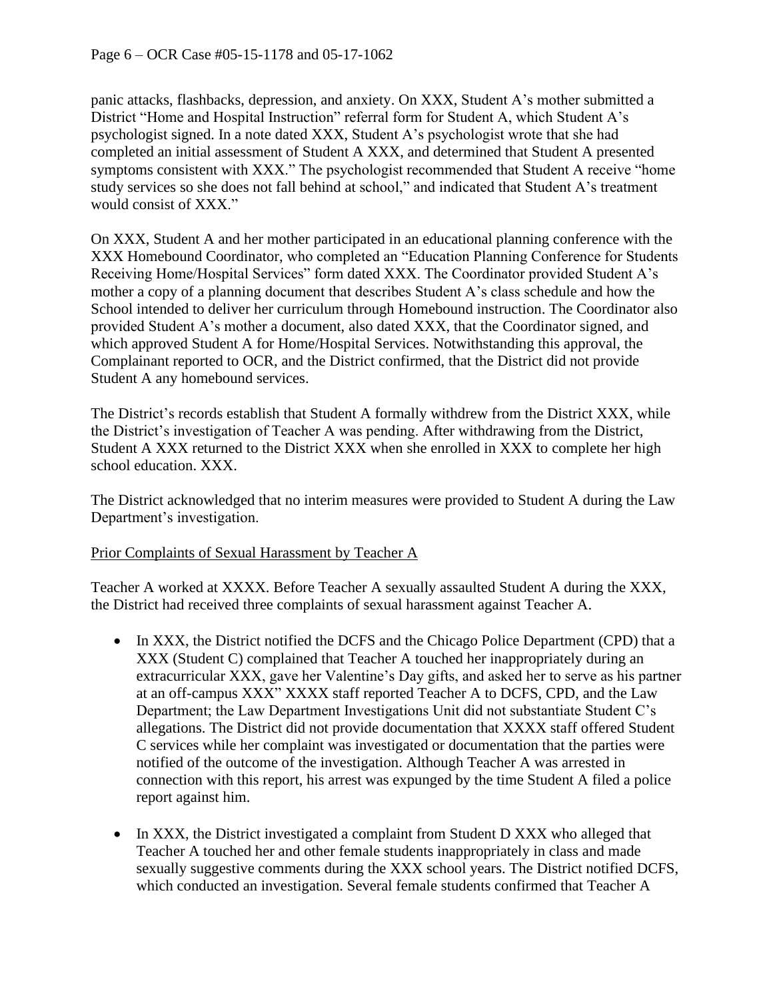panic attacks, flashbacks, depression, and anxiety. On XXX, Student A's mother submitted a District "Home and Hospital Instruction" referral form for Student A, which Student A's psychologist signed. In a note dated XXX, Student A's psychologist wrote that she had completed an initial assessment of Student A XXX, and determined that Student A presented symptoms consistent with XXX." The psychologist recommended that Student A receive "home study services so she does not fall behind at school," and indicated that Student A's treatment would consist of XXX."

On XXX, Student A and her mother participated in an educational planning conference with the XXX Homebound Coordinator, who completed an "Education Planning Conference for Students Receiving Home/Hospital Services" form dated XXX. The Coordinator provided Student A's mother a copy of a planning document that describes Student A's class schedule and how the School intended to deliver her curriculum through Homebound instruction. The Coordinator also provided Student A's mother a document, also dated XXX, that the Coordinator signed, and which approved Student A for Home/Hospital Services. Notwithstanding this approval, the Complainant reported to OCR, and the District confirmed, that the District did not provide Student A any homebound services.

The District's records establish that Student A formally withdrew from the District XXX, while the District's investigation of Teacher A was pending. After withdrawing from the District, Student A XXX returned to the District XXX when she enrolled in XXX to complete her high school education. XXX.

The District acknowledged that no interim measures were provided to Student A during the Law Department's investigation.

#### Prior Complaints of Sexual Harassment by Teacher A

Teacher A worked at XXXX. Before Teacher A sexually assaulted Student A during the XXX, the District had received three complaints of sexual harassment against Teacher A.

- In XXX, the District notified the DCFS and the Chicago Police Department (CPD) that a XXX (Student C) complained that Teacher A touched her inappropriately during an extracurricular XXX, gave her Valentine's Day gifts, and asked her to serve as his partner at an off-campus XXX" XXXX staff reported Teacher A to DCFS, CPD, and the Law Department; the Law Department Investigations Unit did not substantiate Student C's allegations. The District did not provide documentation that XXXX staff offered Student C services while her complaint was investigated or documentation that the parties were notified of the outcome of the investigation. Although Teacher A was arrested in connection with this report, his arrest was expunged by the time Student A filed a police report against him.
- In XXX, the District investigated a complaint from Student D XXX who alleged that Teacher A touched her and other female students inappropriately in class and made sexually suggestive comments during the XXX school years. The District notified DCFS, which conducted an investigation. Several female students confirmed that Teacher A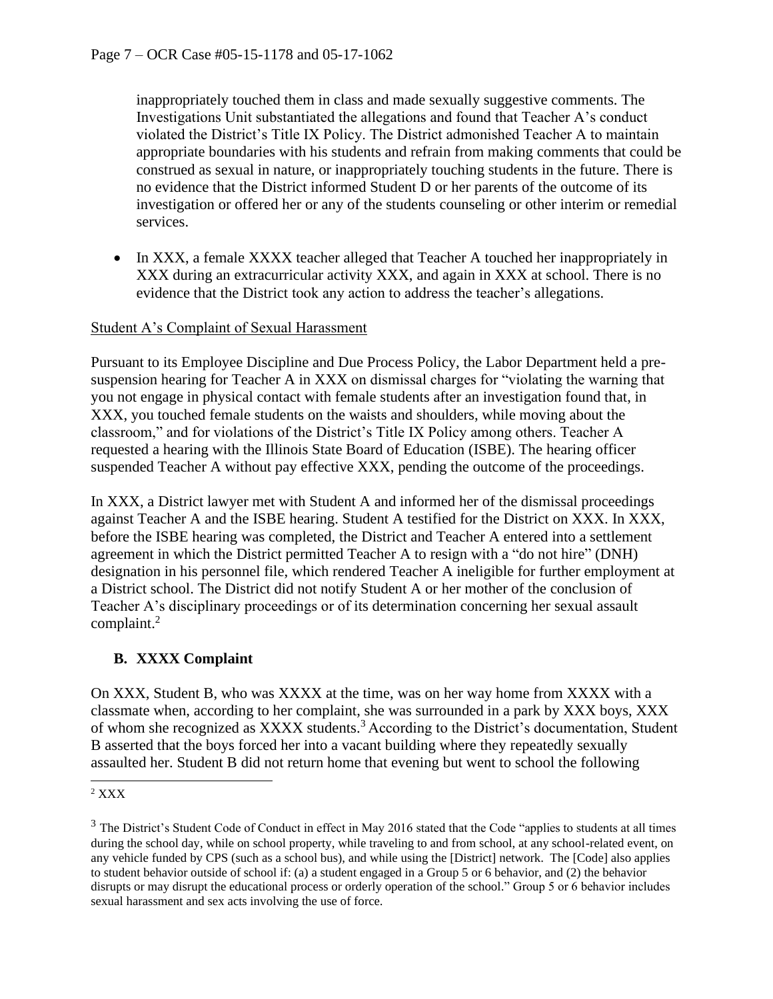inappropriately touched them in class and made sexually suggestive comments. The Investigations Unit substantiated the allegations and found that Teacher A's conduct violated the District's Title IX Policy. The District admonished Teacher A to maintain appropriate boundaries with his students and refrain from making comments that could be construed as sexual in nature, or inappropriately touching students in the future. There is no evidence that the District informed Student D or her parents of the outcome of its investigation or offered her or any of the students counseling or other interim or remedial services.

• In XXX, a female XXXX teacher alleged that Teacher A touched her inappropriately in XXX during an extracurricular activity XXX, and again in XXX at school. There is no evidence that the District took any action to address the teacher's allegations.

#### Student A's Complaint of Sexual Harassment

Pursuant to its Employee Discipline and Due Process Policy, the Labor Department held a presuspension hearing for Teacher A in XXX on dismissal charges for "violating the warning that you not engage in physical contact with female students after an investigation found that, in XXX, you touched female students on the waists and shoulders, while moving about the classroom," and for violations of the District's Title IX Policy among others. Teacher A requested a hearing with the Illinois State Board of Education (ISBE). The hearing officer suspended Teacher A without pay effective XXX, pending the outcome of the proceedings.

In XXX, a District lawyer met with Student A and informed her of the dismissal proceedings against Teacher A and the ISBE hearing. Student A testified for the District on XXX. In XXX, before the ISBE hearing was completed, the District and Teacher A entered into a settlement agreement in which the District permitted Teacher A to resign with a "do not hire" (DNH) designation in his personnel file, which rendered Teacher A ineligible for further employment at a District school. The District did not notify Student A or her mother of the conclusion of Teacher A's disciplinary proceedings or of its determination concerning her sexual assault complaint. 2

# **B. XXXX Complaint**

On XXX, Student B, who was XXXX at the time, was on her way home from XXXX with a classmate when, according to her complaint, she was surrounded in a park by XXX boys, XXX of whom she recognized as XXXX students.<sup>3</sup> According to the District's documentation, Student B asserted that the boys forced her into a vacant building where they repeatedly sexually assaulted her. Student B did not return home that evening but went to school the following

 $2$  XXX

 $3$  The District's Student Code of Conduct in effect in May 2016 stated that the Code "applies to students at all times" during the school day, while on school property, while traveling to and from school, at any school-related event, on any vehicle funded by CPS (such as a school bus), and while using the [District] network. The [Code] also applies to student behavior outside of school if: (a) a student engaged in a Group 5 or 6 behavior, and (2) the behavior disrupts or may disrupt the educational process or orderly operation of the school." Group 5 or 6 behavior includes sexual harassment and sex acts involving the use of force.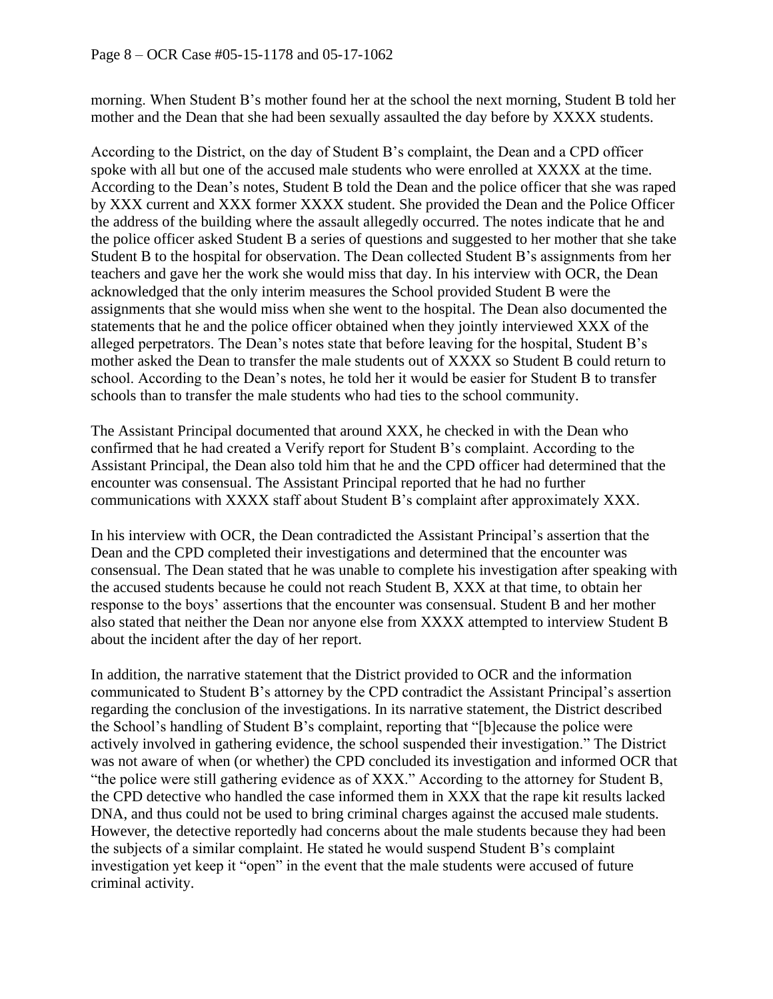morning. When Student B's mother found her at the school the next morning, Student B told her mother and the Dean that she had been sexually assaulted the day before by XXXX students.

According to the District, on the day of Student B's complaint, the Dean and a CPD officer spoke with all but one of the accused male students who were enrolled at XXXX at the time. According to the Dean's notes, Student B told the Dean and the police officer that she was raped by XXX current and XXX former XXXX student. She provided the Dean and the Police Officer the address of the building where the assault allegedly occurred. The notes indicate that he and the police officer asked Student B a series of questions and suggested to her mother that she take Student B to the hospital for observation. The Dean collected Student B's assignments from her teachers and gave her the work she would miss that day. In his interview with OCR, the Dean acknowledged that the only interim measures the School provided Student B were the assignments that she would miss when she went to the hospital. The Dean also documented the statements that he and the police officer obtained when they jointly interviewed XXX of the alleged perpetrators. The Dean's notes state that before leaving for the hospital, Student B's mother asked the Dean to transfer the male students out of XXXX so Student B could return to school. According to the Dean's notes, he told her it would be easier for Student B to transfer schools than to transfer the male students who had ties to the school community.

The Assistant Principal documented that around XXX, he checked in with the Dean who confirmed that he had created a Verify report for Student B's complaint. According to the Assistant Principal, the Dean also told him that he and the CPD officer had determined that the encounter was consensual. The Assistant Principal reported that he had no further communications with XXXX staff about Student B's complaint after approximately XXX.

In his interview with OCR, the Dean contradicted the Assistant Principal's assertion that the Dean and the CPD completed their investigations and determined that the encounter was consensual. The Dean stated that he was unable to complete his investigation after speaking with the accused students because he could not reach Student B, XXX at that time, to obtain her response to the boys' assertions that the encounter was consensual. Student B and her mother also stated that neither the Dean nor anyone else from XXXX attempted to interview Student B about the incident after the day of her report.

In addition, the narrative statement that the District provided to OCR and the information communicated to Student B's attorney by the CPD contradict the Assistant Principal's assertion regarding the conclusion of the investigations. In its narrative statement, the District described the School's handling of Student B's complaint, reporting that "[b]ecause the police were actively involved in gathering evidence, the school suspended their investigation." The District was not aware of when (or whether) the CPD concluded its investigation and informed OCR that "the police were still gathering evidence as of XXX." According to the attorney for Student B, the CPD detective who handled the case informed them in XXX that the rape kit results lacked DNA, and thus could not be used to bring criminal charges against the accused male students. However, the detective reportedly had concerns about the male students because they had been the subjects of a similar complaint. He stated he would suspend Student B's complaint investigation yet keep it "open" in the event that the male students were accused of future criminal activity.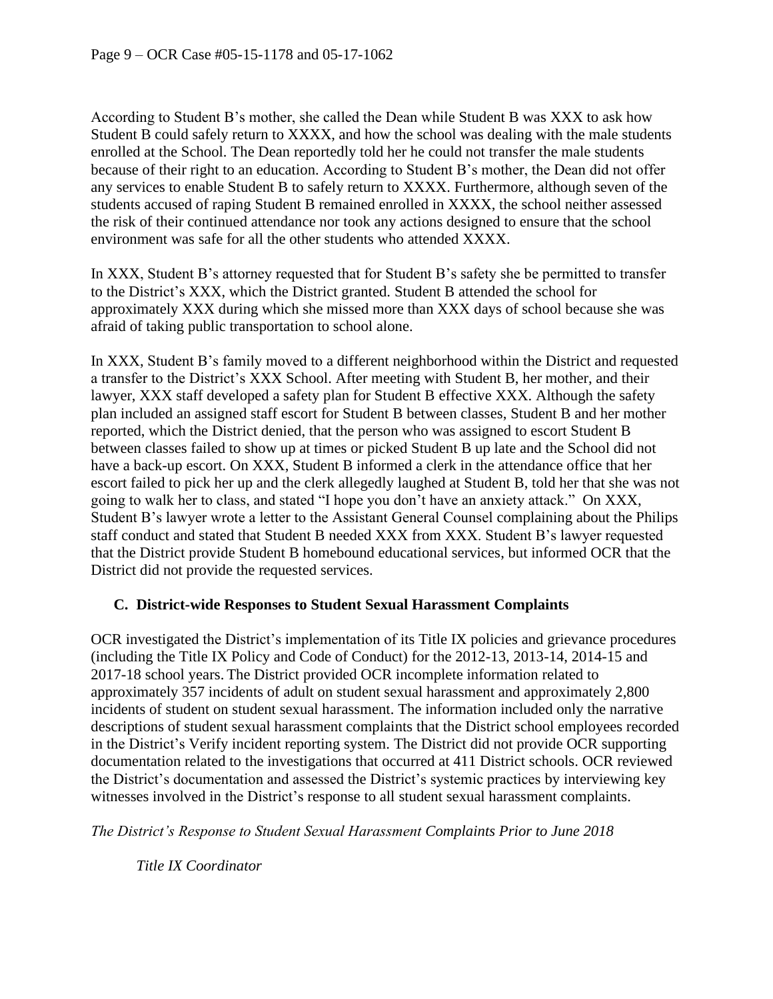According to Student B's mother, she called the Dean while Student B was XXX to ask how Student B could safely return to XXXX, and how the school was dealing with the male students enrolled at the School. The Dean reportedly told her he could not transfer the male students because of their right to an education. According to Student B's mother, the Dean did not offer any services to enable Student B to safely return to XXXX. Furthermore, although seven of the students accused of raping Student B remained enrolled in XXXX, the school neither assessed the risk of their continued attendance nor took any actions designed to ensure that the school environment was safe for all the other students who attended XXXX.

In XXX, Student B's attorney requested that for Student B's safety she be permitted to transfer to the District's XXX, which the District granted. Student B attended the school for approximately XXX during which she missed more than XXX days of school because she was afraid of taking public transportation to school alone.

In XXX, Student B's family moved to a different neighborhood within the District and requested a transfer to the District's XXX School. After meeting with Student B, her mother, and their lawyer, XXX staff developed a safety plan for Student B effective XXX. Although the safety plan included an assigned staff escort for Student B between classes, Student B and her mother reported, which the District denied, that the person who was assigned to escort Student B between classes failed to show up at times or picked Student B up late and the School did not have a back-up escort. On XXX, Student B informed a clerk in the attendance office that her escort failed to pick her up and the clerk allegedly laughed at Student B, told her that she was not going to walk her to class, and stated "I hope you don't have an anxiety attack." On XXX, Student B's lawyer wrote a letter to the Assistant General Counsel complaining about the Philips staff conduct and stated that Student B needed XXX from XXX. Student B's lawyer requested that the District provide Student B homebound educational services, but informed OCR that the District did not provide the requested services.

#### **C. District-wide Responses to Student Sexual Harassment Complaints**

OCR investigated the District's implementation of its Title IX policies and grievance procedures (including the Title IX Policy and Code of Conduct) for the 2012-13, 2013-14, 2014-15 and 2017-18 school years. The District provided OCR incomplete information related to approximately 357 incidents of adult on student sexual harassment and approximately 2,800 incidents of student on student sexual harassment. The information included only the narrative descriptions of student sexual harassment complaints that the District school employees recorded in the District's Verify incident reporting system. The District did not provide OCR supporting documentation related to the investigations that occurred at 411 District schools. OCR reviewed the District's documentation and assessed the District's systemic practices by interviewing key witnesses involved in the District's response to all student sexual harassment complaints.

*The District's Response to Student Sexual Harassment Complaints Prior to June 2018*

*Title IX Coordinator*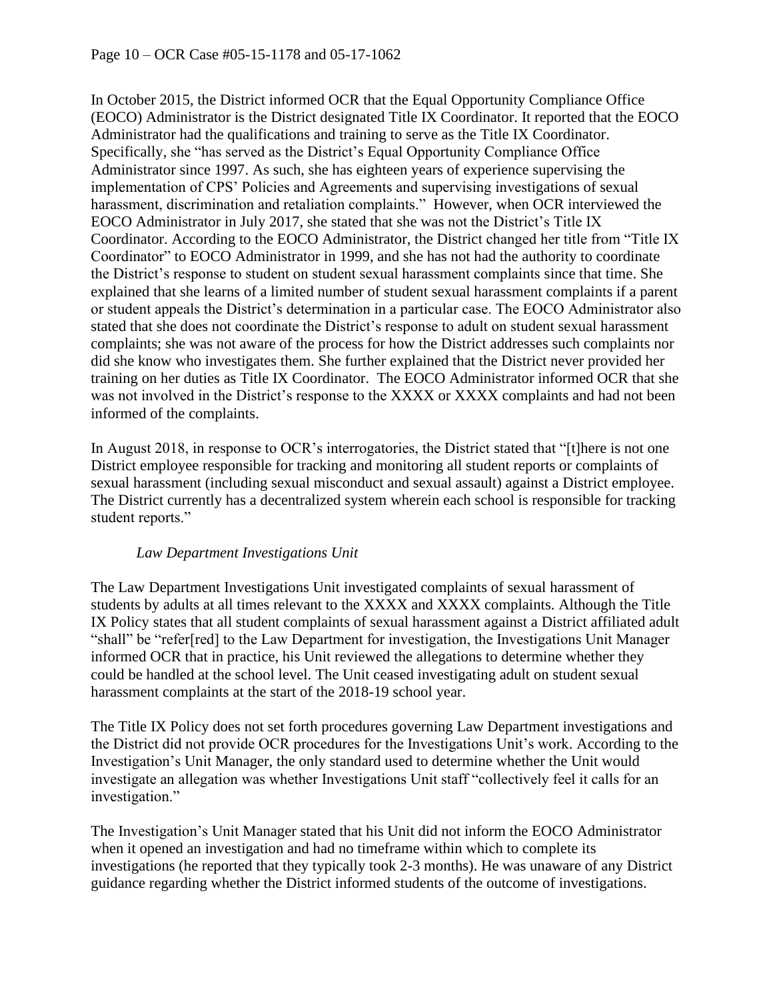In October 2015, the District informed OCR that the Equal Opportunity Compliance Office (EOCO) Administrator is the District designated Title IX Coordinator. It reported that the EOCO Administrator had the qualifications and training to serve as the Title IX Coordinator. Specifically, she "has served as the District's Equal Opportunity Compliance Office Administrator since 1997. As such, she has eighteen years of experience supervising the implementation of CPS' Policies and Agreements and supervising investigations of sexual harassment, discrimination and retaliation complaints." However, when OCR interviewed the EOCO Administrator in July 2017, she stated that she was not the District's Title IX Coordinator. According to the EOCO Administrator, the District changed her title from "Title IX Coordinator" to EOCO Administrator in 1999, and she has not had the authority to coordinate the District's response to student on student sexual harassment complaints since that time. She explained that she learns of a limited number of student sexual harassment complaints if a parent or student appeals the District's determination in a particular case. The EOCO Administrator also stated that she does not coordinate the District's response to adult on student sexual harassment complaints; she was not aware of the process for how the District addresses such complaints nor did she know who investigates them. She further explained that the District never provided her training on her duties as Title IX Coordinator. The EOCO Administrator informed OCR that she was not involved in the District's response to the XXXX or XXXX complaints and had not been informed of the complaints.

In August 2018, in response to OCR's interrogatories, the District stated that "[t]here is not one District employee responsible for tracking and monitoring all student reports or complaints of sexual harassment (including sexual misconduct and sexual assault) against a District employee. The District currently has a decentralized system wherein each school is responsible for tracking student reports."

#### *Law Department Investigations Unit*

The Law Department Investigations Unit investigated complaints of sexual harassment of students by adults at all times relevant to the XXXX and XXXX complaints. Although the Title IX Policy states that all student complaints of sexual harassment against a District affiliated adult "shall" be "refer[red] to the Law Department for investigation, the Investigations Unit Manager informed OCR that in practice, his Unit reviewed the allegations to determine whether they could be handled at the school level. The Unit ceased investigating adult on student sexual harassment complaints at the start of the 2018-19 school year.

The Title IX Policy does not set forth procedures governing Law Department investigations and the District did not provide OCR procedures for the Investigations Unit's work. According to the Investigation's Unit Manager, the only standard used to determine whether the Unit would investigate an allegation was whether Investigations Unit staff "collectively feel it calls for an investigation."

The Investigation's Unit Manager stated that his Unit did not inform the EOCO Administrator when it opened an investigation and had no timeframe within which to complete its investigations (he reported that they typically took 2-3 months). He was unaware of any District guidance regarding whether the District informed students of the outcome of investigations.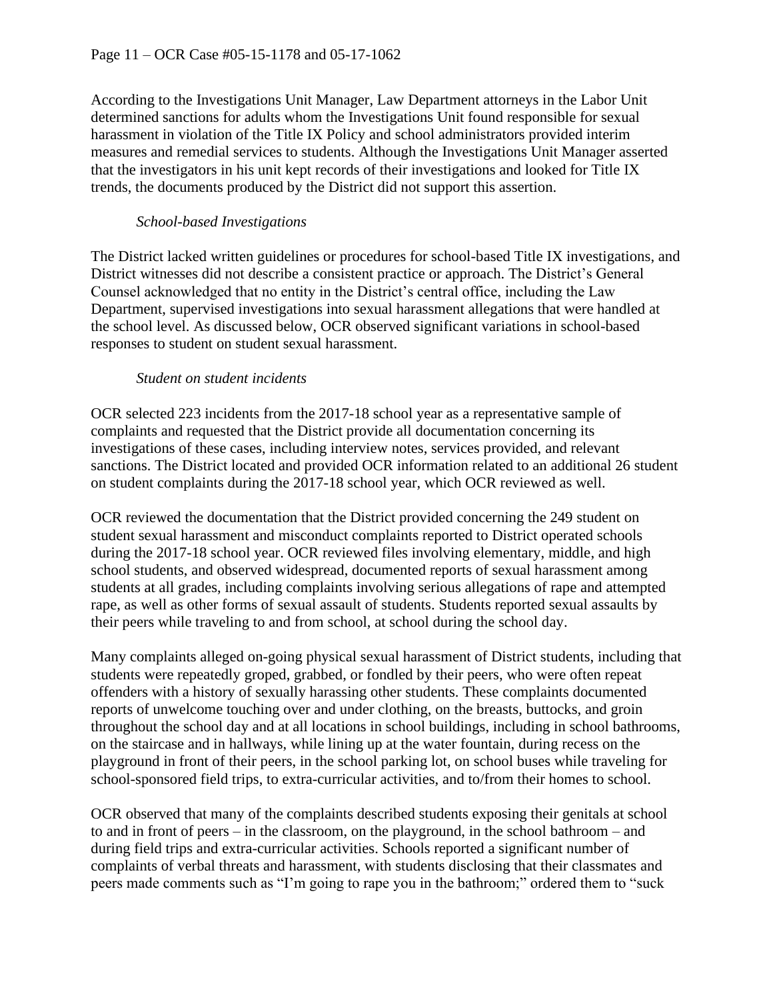According to the Investigations Unit Manager, Law Department attorneys in the Labor Unit determined sanctions for adults whom the Investigations Unit found responsible for sexual harassment in violation of the Title IX Policy and school administrators provided interim measures and remedial services to students. Although the Investigations Unit Manager asserted that the investigators in his unit kept records of their investigations and looked for Title IX trends, the documents produced by the District did not support this assertion.

### *School-based Investigations*

The District lacked written guidelines or procedures for school-based Title IX investigations, and District witnesses did not describe a consistent practice or approach. The District's General Counsel acknowledged that no entity in the District's central office, including the Law Department, supervised investigations into sexual harassment allegations that were handled at the school level. As discussed below, OCR observed significant variations in school-based responses to student on student sexual harassment.

#### *Student on student incidents*

OCR selected 223 incidents from the 2017-18 school year as a representative sample of complaints and requested that the District provide all documentation concerning its investigations of these cases, including interview notes, services provided, and relevant sanctions. The District located and provided OCR information related to an additional 26 student on student complaints during the 2017-18 school year, which OCR reviewed as well.

OCR reviewed the documentation that the District provided concerning the 249 student on student sexual harassment and misconduct complaints reported to District operated schools during the 2017-18 school year. OCR reviewed files involving elementary, middle, and high school students, and observed widespread, documented reports of sexual harassment among students at all grades, including complaints involving serious allegations of rape and attempted rape, as well as other forms of sexual assault of students. Students reported sexual assaults by their peers while traveling to and from school, at school during the school day.

Many complaints alleged on-going physical sexual harassment of District students, including that students were repeatedly groped, grabbed, or fondled by their peers, who were often repeat offenders with a history of sexually harassing other students. These complaints documented reports of unwelcome touching over and under clothing, on the breasts, buttocks, and groin throughout the school day and at all locations in school buildings, including in school bathrooms, on the staircase and in hallways, while lining up at the water fountain, during recess on the playground in front of their peers, in the school parking lot, on school buses while traveling for school-sponsored field trips, to extra-curricular activities, and to/from their homes to school.

OCR observed that many of the complaints described students exposing their genitals at school to and in front of peers – in the classroom, on the playground, in the school bathroom – and during field trips and extra-curricular activities. Schools reported a significant number of complaints of verbal threats and harassment, with students disclosing that their classmates and peers made comments such as "I'm going to rape you in the bathroom;" ordered them to "suck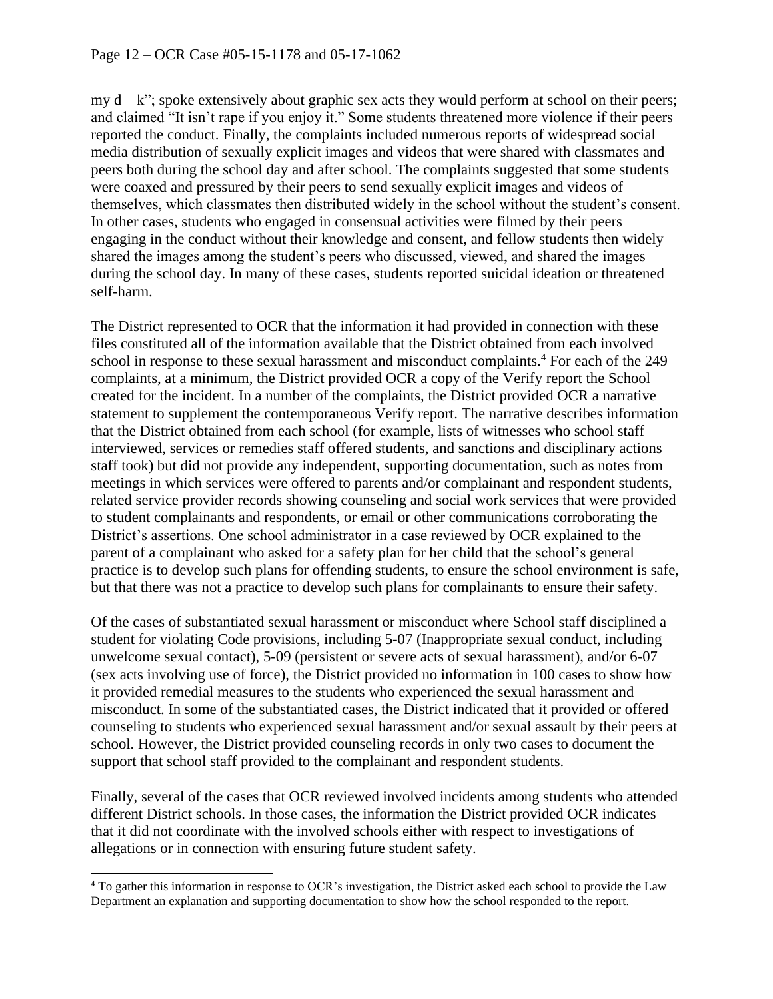my d—k"; spoke extensively about graphic sex acts they would perform at school on their peers; and claimed "It isn't rape if you enjoy it." Some students threatened more violence if their peers reported the conduct. Finally, the complaints included numerous reports of widespread social media distribution of sexually explicit images and videos that were shared with classmates and peers both during the school day and after school. The complaints suggested that some students were coaxed and pressured by their peers to send sexually explicit images and videos of themselves, which classmates then distributed widely in the school without the student's consent. In other cases, students who engaged in consensual activities were filmed by their peers engaging in the conduct without their knowledge and consent, and fellow students then widely shared the images among the student's peers who discussed, viewed, and shared the images during the school day. In many of these cases, students reported suicidal ideation or threatened self-harm.

The District represented to OCR that the information it had provided in connection with these files constituted all of the information available that the District obtained from each involved school in response to these sexual harassment and misconduct complaints.<sup>4</sup> For each of the 249 complaints, at a minimum, the District provided OCR a copy of the Verify report the School created for the incident. In a number of the complaints, the District provided OCR a narrative statement to supplement the contemporaneous Verify report. The narrative describes information that the District obtained from each school (for example, lists of witnesses who school staff interviewed, services or remedies staff offered students, and sanctions and disciplinary actions staff took) but did not provide any independent, supporting documentation, such as notes from meetings in which services were offered to parents and/or complainant and respondent students, related service provider records showing counseling and social work services that were provided to student complainants and respondents, or email or other communications corroborating the District's assertions. One school administrator in a case reviewed by OCR explained to the parent of a complainant who asked for a safety plan for her child that the school's general practice is to develop such plans for offending students, to ensure the school environment is safe, but that there was not a practice to develop such plans for complainants to ensure their safety.

Of the cases of substantiated sexual harassment or misconduct where School staff disciplined a student for violating Code provisions, including 5-07 (Inappropriate sexual conduct, including unwelcome sexual contact), 5-09 (persistent or severe acts of sexual harassment), and/or 6-07 (sex acts involving use of force), the District provided no information in 100 cases to show how it provided remedial measures to the students who experienced the sexual harassment and misconduct. In some of the substantiated cases, the District indicated that it provided or offered counseling to students who experienced sexual harassment and/or sexual assault by their peers at school. However, the District provided counseling records in only two cases to document the support that school staff provided to the complainant and respondent students.

Finally, several of the cases that OCR reviewed involved incidents among students who attended different District schools. In those cases, the information the District provided OCR indicates that it did not coordinate with the involved schools either with respect to investigations of allegations or in connection with ensuring future student safety.

<sup>&</sup>lt;sup>4</sup> To gather this information in response to OCR's investigation, the District asked each school to provide the Law Department an explanation and supporting documentation to show how the school responded to the report.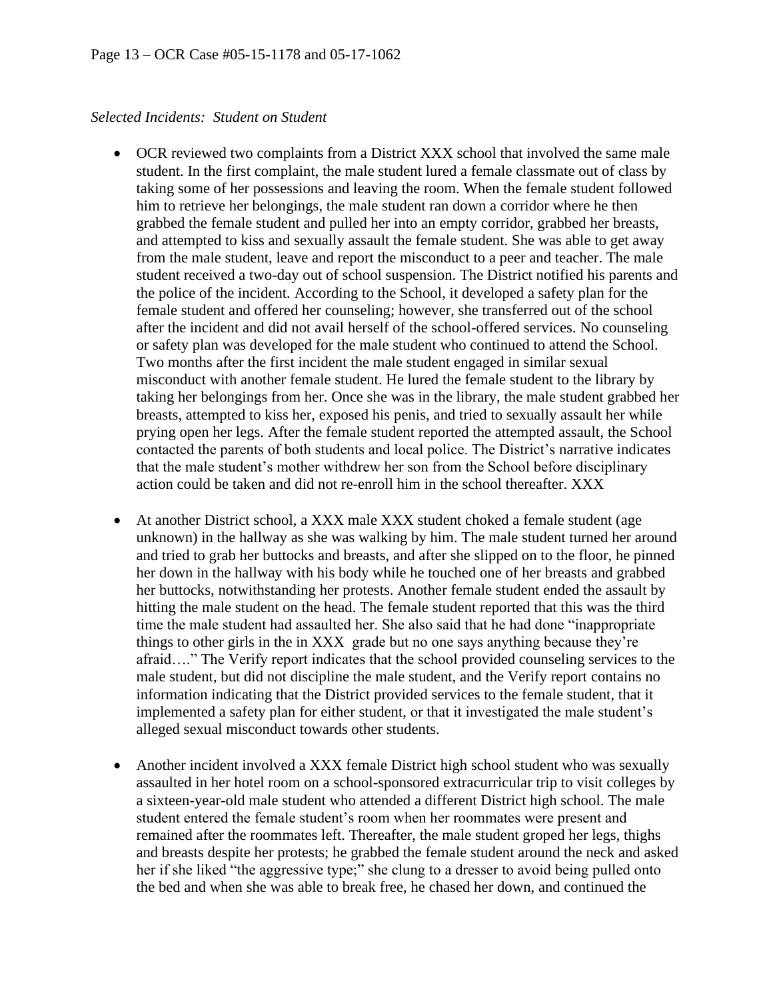#### *Selected Incidents: Student on Student*

- OCR reviewed two complaints from a District XXX school that involved the same male student. In the first complaint, the male student lured a female classmate out of class by taking some of her possessions and leaving the room. When the female student followed him to retrieve her belongings, the male student ran down a corridor where he then grabbed the female student and pulled her into an empty corridor, grabbed her breasts, and attempted to kiss and sexually assault the female student. She was able to get away from the male student, leave and report the misconduct to a peer and teacher. The male student received a two-day out of school suspension. The District notified his parents and the police of the incident. According to the School, it developed a safety plan for the female student and offered her counseling; however, she transferred out of the school after the incident and did not avail herself of the school-offered services. No counseling or safety plan was developed for the male student who continued to attend the School. Two months after the first incident the male student engaged in similar sexual misconduct with another female student. He lured the female student to the library by taking her belongings from her. Once she was in the library, the male student grabbed her breasts, attempted to kiss her, exposed his penis, and tried to sexually assault her while prying open her legs. After the female student reported the attempted assault, the School contacted the parents of both students and local police. The District's narrative indicates that the male student's mother withdrew her son from the School before disciplinary action could be taken and did not re-enroll him in the school thereafter. XXX
- At another District school, a XXX male XXX student choked a female student (age unknown) in the hallway as she was walking by him. The male student turned her around and tried to grab her buttocks and breasts, and after she slipped on to the floor, he pinned her down in the hallway with his body while he touched one of her breasts and grabbed her buttocks, notwithstanding her protests. Another female student ended the assault by hitting the male student on the head. The female student reported that this was the third time the male student had assaulted her. She also said that he had done "inappropriate things to other girls in the in XXX grade but no one says anything because they're afraid…." The Verify report indicates that the school provided counseling services to the male student, but did not discipline the male student, and the Verify report contains no information indicating that the District provided services to the female student, that it implemented a safety plan for either student, or that it investigated the male student's alleged sexual misconduct towards other students.
- Another incident involved a XXX female District high school student who was sexually assaulted in her hotel room on a school-sponsored extracurricular trip to visit colleges by a sixteen-year-old male student who attended a different District high school. The male student entered the female student's room when her roommates were present and remained after the roommates left. Thereafter, the male student groped her legs, thighs and breasts despite her protests; he grabbed the female student around the neck and asked her if she liked "the aggressive type;" she clung to a dresser to avoid being pulled onto the bed and when she was able to break free, he chased her down, and continued the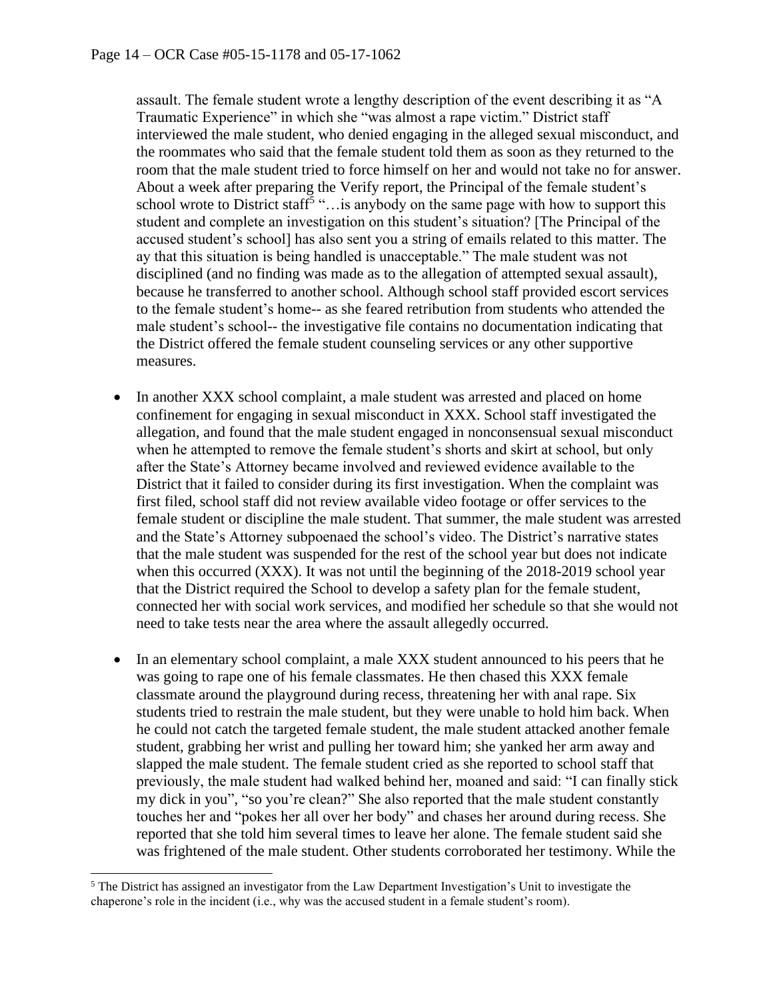assault. The female student wrote a lengthy description of the event describing it as "A Traumatic Experience" in which she "was almost a rape victim." District staff interviewed the male student, who denied engaging in the alleged sexual misconduct, and the roommates who said that the female student told them as soon as they returned to the room that the male student tried to force himself on her and would not take no for answer. About a week after preparing the Verify report, the Principal of the female student's school wrote to District staff<sup>5</sup> "... is anybody on the same page with how to support this student and complete an investigation on this student's situation? [The Principal of the accused student's school] has also sent you a string of emails related to this matter. The ay that this situation is being handled is unacceptable." The male student was not disciplined (and no finding was made as to the allegation of attempted sexual assault), because he transferred to another school. Although school staff provided escort services to the female student's home-- as she feared retribution from students who attended the male student's school-- the investigative file contains no documentation indicating that the District offered the female student counseling services or any other supportive measures.

- In another XXX school complaint, a male student was arrested and placed on home confinement for engaging in sexual misconduct in XXX. School staff investigated the allegation, and found that the male student engaged in nonconsensual sexual misconduct when he attempted to remove the female student's shorts and skirt at school, but only after the State's Attorney became involved and reviewed evidence available to the District that it failed to consider during its first investigation. When the complaint was first filed, school staff did not review available video footage or offer services to the female student or discipline the male student. That summer, the male student was arrested and the State's Attorney subpoenaed the school's video. The District's narrative states that the male student was suspended for the rest of the school year but does not indicate when this occurred (XXX). It was not until the beginning of the 2018-2019 school year that the District required the School to develop a safety plan for the female student, connected her with social work services, and modified her schedule so that she would not need to take tests near the area where the assault allegedly occurred.
- In an elementary school complaint, a male XXX student announced to his peers that he was going to rape one of his female classmates. He then chased this XXX female classmate around the playground during recess, threatening her with anal rape. Six students tried to restrain the male student, but they were unable to hold him back. When he could not catch the targeted female student, the male student attacked another female student, grabbing her wrist and pulling her toward him; she yanked her arm away and slapped the male student. The female student cried as she reported to school staff that previously, the male student had walked behind her, moaned and said: "I can finally stick my dick in you", "so you're clean?" She also reported that the male student constantly touches her and "pokes her all over her body" and chases her around during recess. She reported that she told him several times to leave her alone. The female student said she was frightened of the male student. Other students corroborated her testimony. While the

<sup>&</sup>lt;sup>5</sup> The District has assigned an investigator from the Law Department Investigation's Unit to investigate the chaperone's role in the incident (i.e., why was the accused student in a female student's room).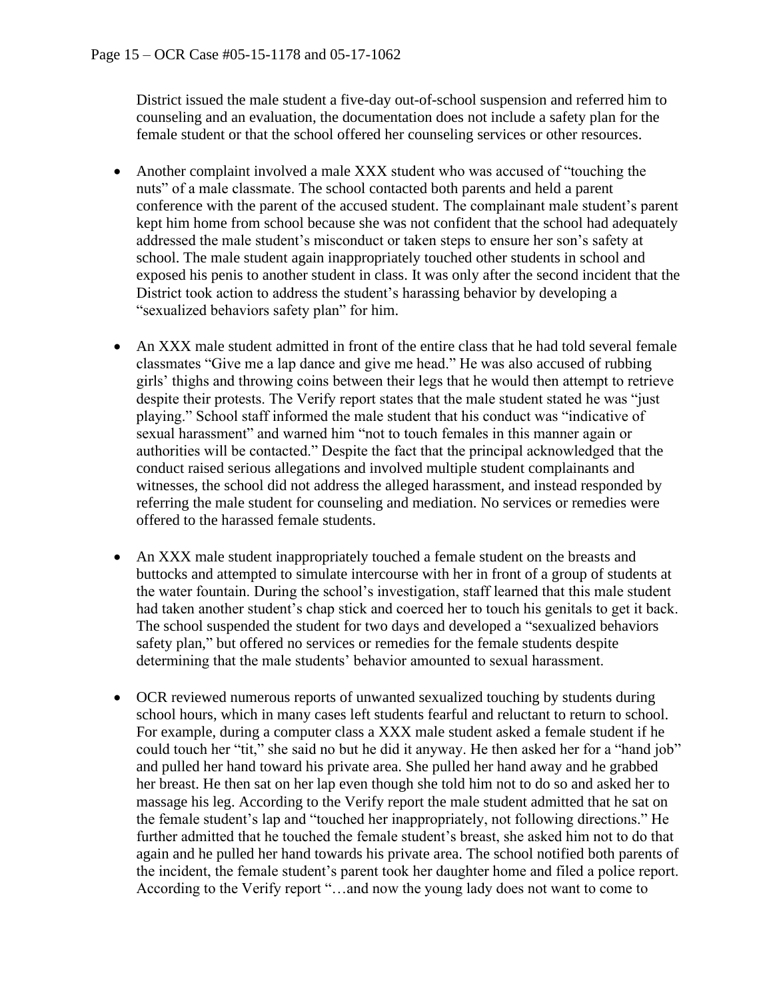District issued the male student a five-day out-of-school suspension and referred him to counseling and an evaluation, the documentation does not include a safety plan for the female student or that the school offered her counseling services or other resources.

- Another complaint involved a male XXX student who was accused of "touching the nuts" of a male classmate. The school contacted both parents and held a parent conference with the parent of the accused student. The complainant male student's parent kept him home from school because she was not confident that the school had adequately addressed the male student's misconduct or taken steps to ensure her son's safety at school. The male student again inappropriately touched other students in school and exposed his penis to another student in class. It was only after the second incident that the District took action to address the student's harassing behavior by developing a "sexualized behaviors safety plan" for him.
- An XXX male student admitted in front of the entire class that he had told several female classmates "Give me a lap dance and give me head." He was also accused of rubbing girls' thighs and throwing coins between their legs that he would then attempt to retrieve despite their protests. The Verify report states that the male student stated he was "just playing." School staff informed the male student that his conduct was "indicative of sexual harassment" and warned him "not to touch females in this manner again or authorities will be contacted." Despite the fact that the principal acknowledged that the conduct raised serious allegations and involved multiple student complainants and witnesses, the school did not address the alleged harassment, and instead responded by referring the male student for counseling and mediation. No services or remedies were offered to the harassed female students.
- An XXX male student inappropriately touched a female student on the breasts and buttocks and attempted to simulate intercourse with her in front of a group of students at the water fountain. During the school's investigation, staff learned that this male student had taken another student's chap stick and coerced her to touch his genitals to get it back. The school suspended the student for two days and developed a "sexualized behaviors safety plan," but offered no services or remedies for the female students despite determining that the male students' behavior amounted to sexual harassment.
- OCR reviewed numerous reports of unwanted sexualized touching by students during school hours, which in many cases left students fearful and reluctant to return to school. For example, during a computer class a XXX male student asked a female student if he could touch her "tit," she said no but he did it anyway. He then asked her for a "hand job" and pulled her hand toward his private area. She pulled her hand away and he grabbed her breast. He then sat on her lap even though she told him not to do so and asked her to massage his leg. According to the Verify report the male student admitted that he sat on the female student's lap and "touched her inappropriately, not following directions." He further admitted that he touched the female student's breast, she asked him not to do that again and he pulled her hand towards his private area. The school notified both parents of the incident, the female student's parent took her daughter home and filed a police report. According to the Verify report "…and now the young lady does not want to come to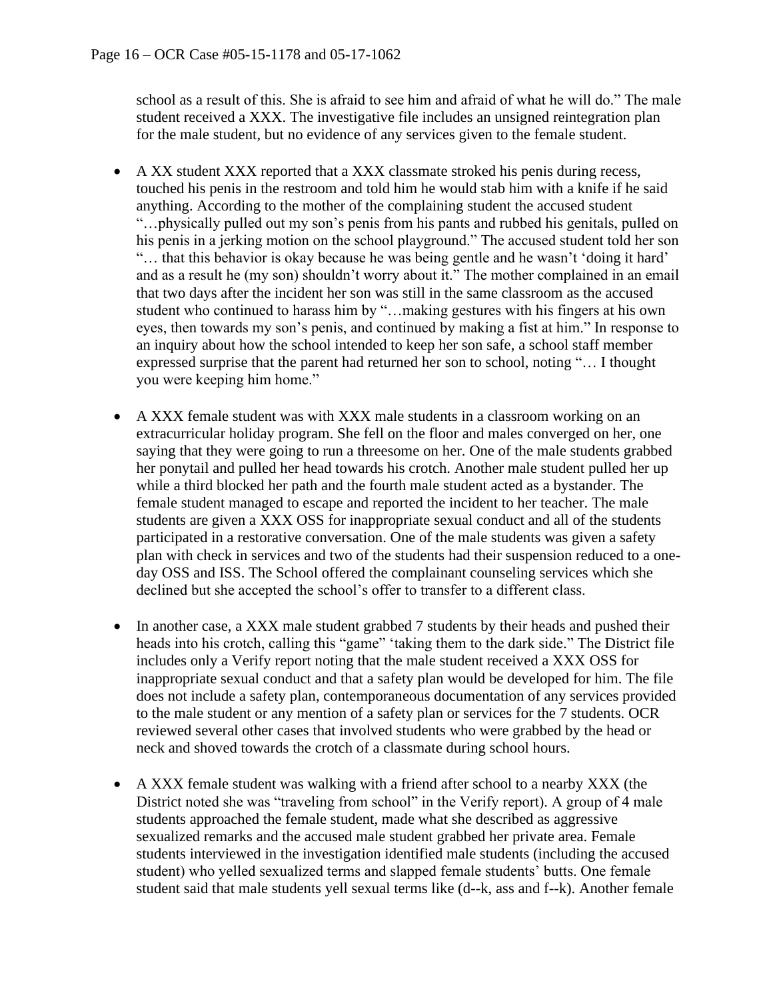school as a result of this. She is afraid to see him and afraid of what he will do." The male student received a XXX. The investigative file includes an unsigned reintegration plan for the male student, but no evidence of any services given to the female student.

- A XX student XXX reported that a XXX classmate stroked his penis during recess, touched his penis in the restroom and told him he would stab him with a knife if he said anything. According to the mother of the complaining student the accused student "…physically pulled out my son's penis from his pants and rubbed his genitals, pulled on his penis in a jerking motion on the school playground." The accused student told her son "… that this behavior is okay because he was being gentle and he wasn't 'doing it hard' and as a result he (my son) shouldn't worry about it." The mother complained in an email that two days after the incident her son was still in the same classroom as the accused student who continued to harass him by "…making gestures with his fingers at his own eyes, then towards my son's penis, and continued by making a fist at him." In response to an inquiry about how the school intended to keep her son safe, a school staff member expressed surprise that the parent had returned her son to school, noting "… I thought you were keeping him home."
- A XXX female student was with XXX male students in a classroom working on an extracurricular holiday program. She fell on the floor and males converged on her, one saying that they were going to run a threesome on her. One of the male students grabbed her ponytail and pulled her head towards his crotch. Another male student pulled her up while a third blocked her path and the fourth male student acted as a bystander. The female student managed to escape and reported the incident to her teacher. The male students are given a XXX OSS for inappropriate sexual conduct and all of the students participated in a restorative conversation. One of the male students was given a safety plan with check in services and two of the students had their suspension reduced to a oneday OSS and ISS. The School offered the complainant counseling services which she declined but she accepted the school's offer to transfer to a different class.
- In another case, a XXX male student grabbed 7 students by their heads and pushed their heads into his crotch, calling this "game" 'taking them to the dark side." The District file includes only a Verify report noting that the male student received a XXX OSS for inappropriate sexual conduct and that a safety plan would be developed for him. The file does not include a safety plan, contemporaneous documentation of any services provided to the male student or any mention of a safety plan or services for the 7 students. OCR reviewed several other cases that involved students who were grabbed by the head or neck and shoved towards the crotch of a classmate during school hours.
- A XXX female student was walking with a friend after school to a nearby XXX (the District noted she was "traveling from school" in the Verify report). A group of 4 male students approached the female student, made what she described as aggressive sexualized remarks and the accused male student grabbed her private area. Female students interviewed in the investigation identified male students (including the accused student) who yelled sexualized terms and slapped female students' butts. One female student said that male students yell sexual terms like (d--k, ass and f--k). Another female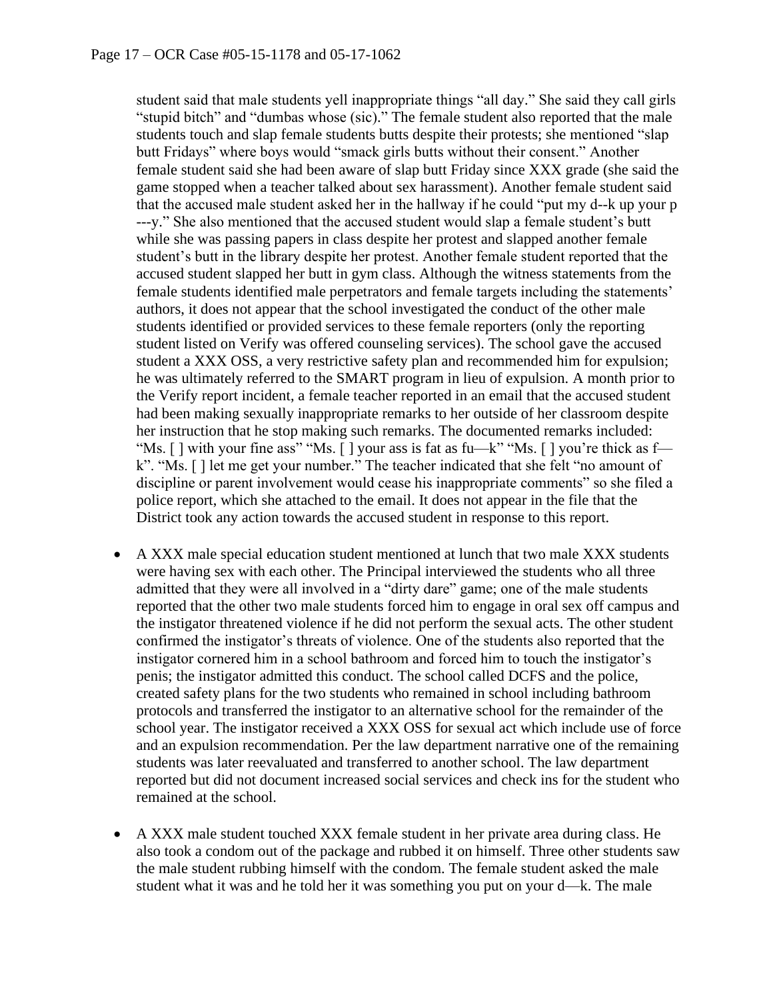student said that male students yell inappropriate things "all day." She said they call girls "stupid bitch" and "dumbas whose (sic)." The female student also reported that the male students touch and slap female students butts despite their protests; she mentioned "slap butt Fridays" where boys would "smack girls butts without their consent." Another female student said she had been aware of slap butt Friday since XXX grade (she said the game stopped when a teacher talked about sex harassment). Another female student said that the accused male student asked her in the hallway if he could "put my d--k up your p ---y." She also mentioned that the accused student would slap a female student's butt while she was passing papers in class despite her protest and slapped another female student's butt in the library despite her protest. Another female student reported that the accused student slapped her butt in gym class. Although the witness statements from the female students identified male perpetrators and female targets including the statements' authors, it does not appear that the school investigated the conduct of the other male students identified or provided services to these female reporters (only the reporting student listed on Verify was offered counseling services). The school gave the accused student a XXX OSS, a very restrictive safety plan and recommended him for expulsion; he was ultimately referred to the SMART program in lieu of expulsion. A month prior to the Verify report incident, a female teacher reported in an email that the accused student had been making sexually inappropriate remarks to her outside of her classroom despite her instruction that he stop making such remarks. The documented remarks included: "Ms. [ ] with your fine ass" "Ms. [ ] your ass is fat as fu—k" "Ms. [ ] you're thick as f k". "Ms. [ ] let me get your number." The teacher indicated that she felt "no amount of discipline or parent involvement would cease his inappropriate comments" so she filed a police report, which she attached to the email. It does not appear in the file that the District took any action towards the accused student in response to this report.

- A XXX male special education student mentioned at lunch that two male XXX students were having sex with each other. The Principal interviewed the students who all three admitted that they were all involved in a "dirty dare" game; one of the male students reported that the other two male students forced him to engage in oral sex off campus and the instigator threatened violence if he did not perform the sexual acts. The other student confirmed the instigator's threats of violence. One of the students also reported that the instigator cornered him in a school bathroom and forced him to touch the instigator's penis; the instigator admitted this conduct. The school called DCFS and the police, created safety plans for the two students who remained in school including bathroom protocols and transferred the instigator to an alternative school for the remainder of the school year. The instigator received a XXX OSS for sexual act which include use of force and an expulsion recommendation. Per the law department narrative one of the remaining students was later reevaluated and transferred to another school. The law department reported but did not document increased social services and check ins for the student who remained at the school.
- A XXX male student touched XXX female student in her private area during class. He also took a condom out of the package and rubbed it on himself. Three other students saw the male student rubbing himself with the condom. The female student asked the male student what it was and he told her it was something you put on your d—k. The male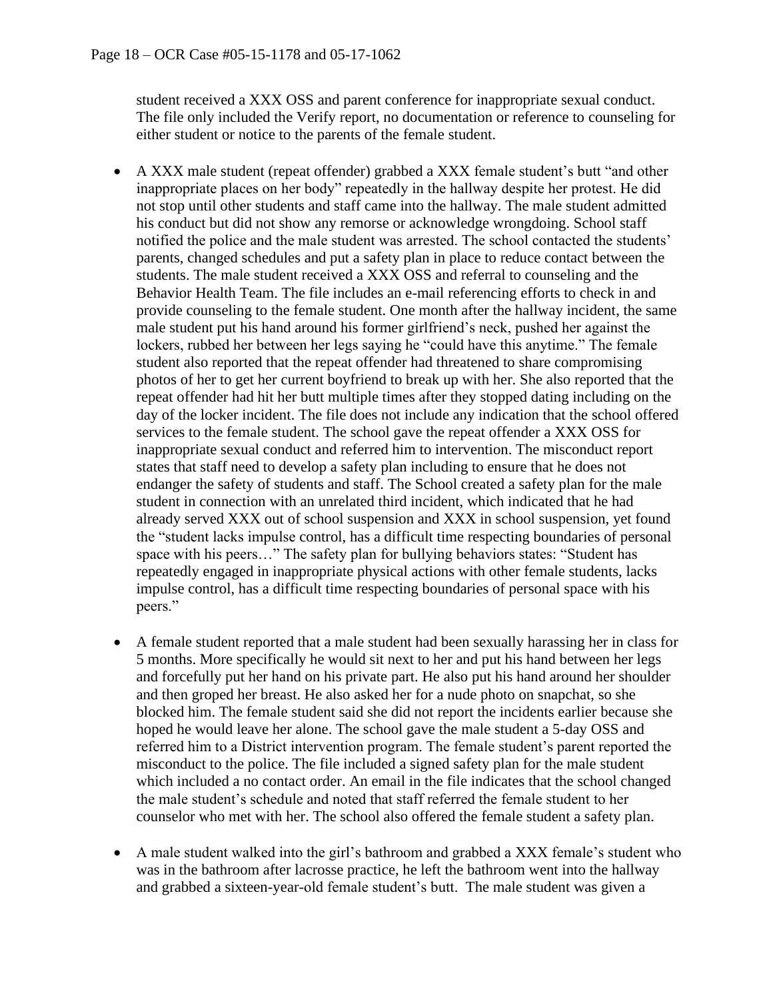student received a XXX OSS and parent conference for inappropriate sexual conduct. The file only included the Verify report, no documentation or reference to counseling for either student or notice to the parents of the female student.

- A XXX male student (repeat offender) grabbed a XXX female student's butt "and other inappropriate places on her body" repeatedly in the hallway despite her protest. He did not stop until other students and staff came into the hallway. The male student admitted his conduct but did not show any remorse or acknowledge wrongdoing. School staff notified the police and the male student was arrested. The school contacted the students' parents, changed schedules and put a safety plan in place to reduce contact between the students. The male student received a XXX OSS and referral to counseling and the Behavior Health Team. The file includes an e-mail referencing efforts to check in and provide counseling to the female student. One month after the hallway incident, the same male student put his hand around his former girlfriend's neck, pushed her against the lockers, rubbed her between her legs saying he "could have this anytime." The female student also reported that the repeat offender had threatened to share compromising photos of her to get her current boyfriend to break up with her. She also reported that the repeat offender had hit her butt multiple times after they stopped dating including on the day of the locker incident. The file does not include any indication that the school offered services to the female student. The school gave the repeat offender a XXX OSS for inappropriate sexual conduct and referred him to intervention. The misconduct report states that staff need to develop a safety plan including to ensure that he does not endanger the safety of students and staff. The School created a safety plan for the male student in connection with an unrelated third incident, which indicated that he had already served XXX out of school suspension and XXX in school suspension, yet found the "student lacks impulse control, has a difficult time respecting boundaries of personal space with his peers…" The safety plan for bullying behaviors states: "Student has repeatedly engaged in inappropriate physical actions with other female students, lacks impulse control, has a difficult time respecting boundaries of personal space with his peers."
- A female student reported that a male student had been sexually harassing her in class for 5 months. More specifically he would sit next to her and put his hand between her legs and forcefully put her hand on his private part. He also put his hand around her shoulder and then groped her breast. He also asked her for a nude photo on snapchat, so she blocked him. The female student said she did not report the incidents earlier because she hoped he would leave her alone. The school gave the male student a 5-day OSS and referred him to a District intervention program. The female student's parent reported the misconduct to the police. The file included a signed safety plan for the male student which included a no contact order. An email in the file indicates that the school changed the male student's schedule and noted that staff referred the female student to her counselor who met with her. The school also offered the female student a safety plan.
- A male student walked into the girl's bathroom and grabbed a XXX female's student who was in the bathroom after lacrosse practice, he left the bathroom went into the hallway and grabbed a sixteen-year-old female student's butt. The male student was given a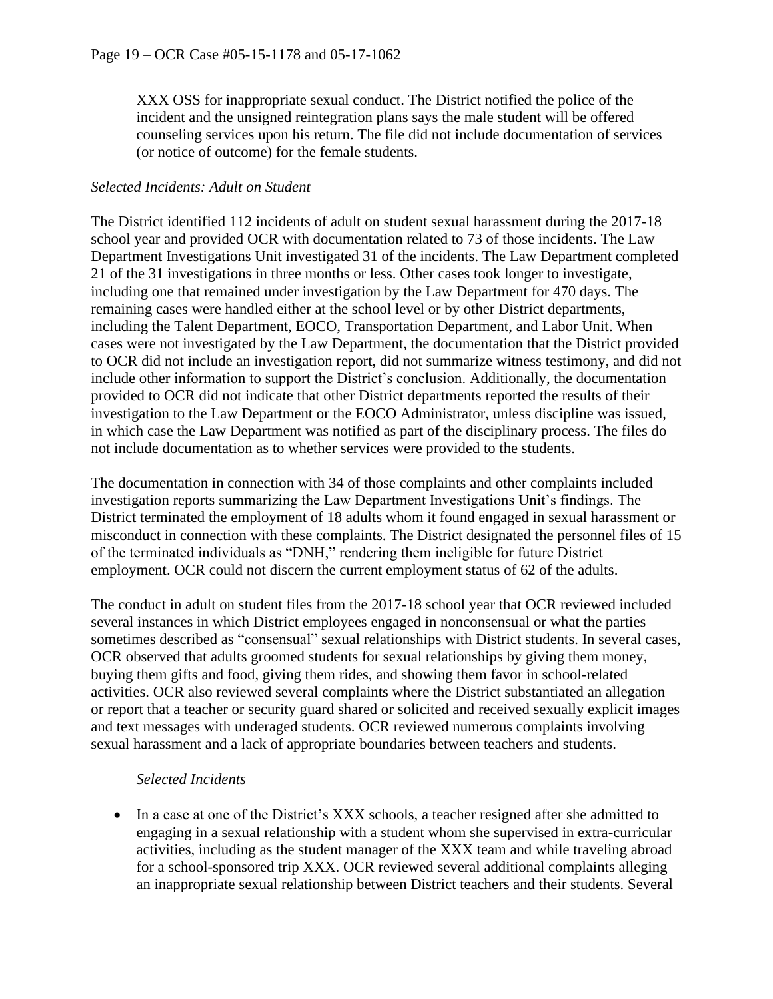XXX OSS for inappropriate sexual conduct. The District notified the police of the incident and the unsigned reintegration plans says the male student will be offered counseling services upon his return. The file did not include documentation of services (or notice of outcome) for the female students.

#### *Selected Incidents: Adult on Student*

The District identified 112 incidents of adult on student sexual harassment during the 2017-18 school year and provided OCR with documentation related to 73 of those incidents. The Law Department Investigations Unit investigated 31 of the incidents. The Law Department completed 21 of the 31 investigations in three months or less. Other cases took longer to investigate, including one that remained under investigation by the Law Department for 470 days. The remaining cases were handled either at the school level or by other District departments, including the Talent Department, EOCO, Transportation Department, and Labor Unit. When cases were not investigated by the Law Department, the documentation that the District provided to OCR did not include an investigation report, did not summarize witness testimony, and did not include other information to support the District's conclusion. Additionally, the documentation provided to OCR did not indicate that other District departments reported the results of their investigation to the Law Department or the EOCO Administrator, unless discipline was issued, in which case the Law Department was notified as part of the disciplinary process. The files do not include documentation as to whether services were provided to the students.

The documentation in connection with 34 of those complaints and other complaints included investigation reports summarizing the Law Department Investigations Unit's findings. The District terminated the employment of 18 adults whom it found engaged in sexual harassment or misconduct in connection with these complaints. The District designated the personnel files of 15 of the terminated individuals as "DNH," rendering them ineligible for future District employment. OCR could not discern the current employment status of 62 of the adults.

The conduct in adult on student files from the 2017-18 school year that OCR reviewed included several instances in which District employees engaged in nonconsensual or what the parties sometimes described as "consensual" sexual relationships with District students. In several cases, OCR observed that adults groomed students for sexual relationships by giving them money, buying them gifts and food, giving them rides, and showing them favor in school-related activities. OCR also reviewed several complaints where the District substantiated an allegation or report that a teacher or security guard shared or solicited and received sexually explicit images and text messages with underaged students. OCR reviewed numerous complaints involving sexual harassment and a lack of appropriate boundaries between teachers and students.

#### *Selected Incidents*

• In a case at one of the District's XXX schools, a teacher resigned after she admitted to engaging in a sexual relationship with a student whom she supervised in extra-curricular activities, including as the student manager of the XXX team and while traveling abroad for a school-sponsored trip XXX. OCR reviewed several additional complaints alleging an inappropriate sexual relationship between District teachers and their students. Several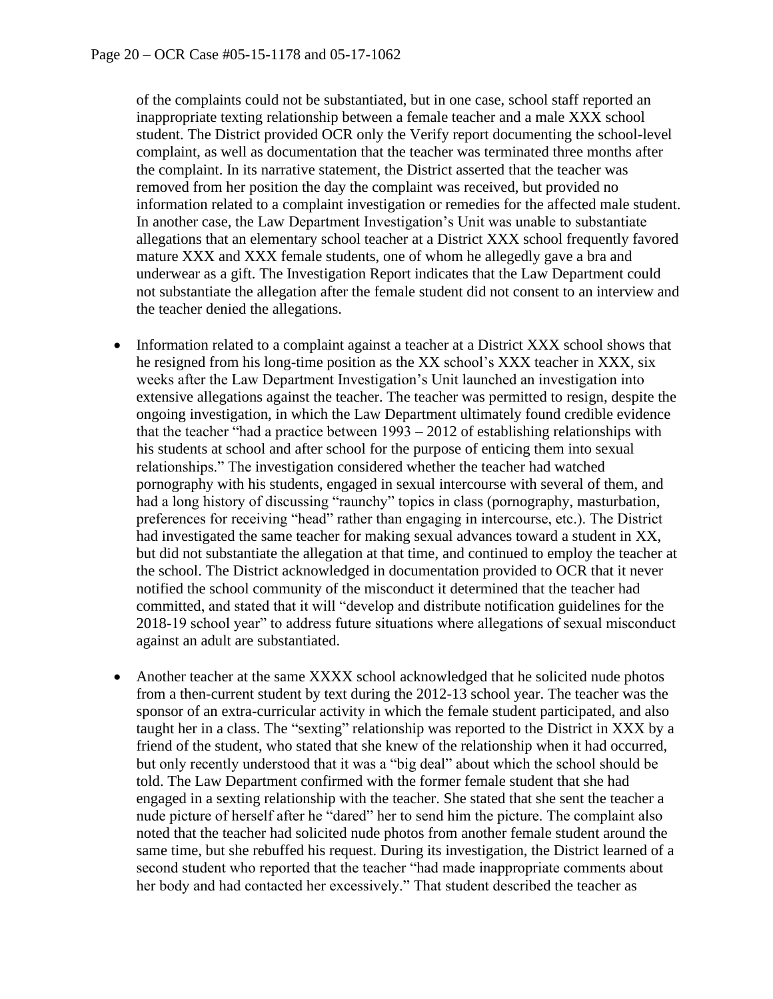of the complaints could not be substantiated, but in one case, school staff reported an inappropriate texting relationship between a female teacher and a male XXX school student. The District provided OCR only the Verify report documenting the school-level complaint, as well as documentation that the teacher was terminated three months after the complaint. In its narrative statement, the District asserted that the teacher was removed from her position the day the complaint was received, but provided no information related to a complaint investigation or remedies for the affected male student. In another case, the Law Department Investigation's Unit was unable to substantiate allegations that an elementary school teacher at a District XXX school frequently favored mature XXX and XXX female students, one of whom he allegedly gave a bra and underwear as a gift. The Investigation Report indicates that the Law Department could not substantiate the allegation after the female student did not consent to an interview and the teacher denied the allegations.

- Information related to a complaint against a teacher at a District XXX school shows that he resigned from his long-time position as the XX school's XXX teacher in XXX, six weeks after the Law Department Investigation's Unit launched an investigation into extensive allegations against the teacher. The teacher was permitted to resign, despite the ongoing investigation, in which the Law Department ultimately found credible evidence that the teacher "had a practice between 1993 – 2012 of establishing relationships with his students at school and after school for the purpose of enticing them into sexual relationships." The investigation considered whether the teacher had watched pornography with his students, engaged in sexual intercourse with several of them, and had a long history of discussing "raunchy" topics in class (pornography, masturbation, preferences for receiving "head" rather than engaging in intercourse, etc.). The District had investigated the same teacher for making sexual advances toward a student in XX, but did not substantiate the allegation at that time, and continued to employ the teacher at the school. The District acknowledged in documentation provided to OCR that it never notified the school community of the misconduct it determined that the teacher had committed, and stated that it will "develop and distribute notification guidelines for the 2018-19 school year" to address future situations where allegations of sexual misconduct against an adult are substantiated.
- Another teacher at the same XXXX school acknowledged that he solicited nude photos from a then-current student by text during the 2012-13 school year. The teacher was the sponsor of an extra-curricular activity in which the female student participated, and also taught her in a class. The "sexting" relationship was reported to the District in XXX by a friend of the student, who stated that she knew of the relationship when it had occurred, but only recently understood that it was a "big deal" about which the school should be told. The Law Department confirmed with the former female student that she had engaged in a sexting relationship with the teacher. She stated that she sent the teacher a nude picture of herself after he "dared" her to send him the picture. The complaint also noted that the teacher had solicited nude photos from another female student around the same time, but she rebuffed his request. During its investigation, the District learned of a second student who reported that the teacher "had made inappropriate comments about her body and had contacted her excessively." That student described the teacher as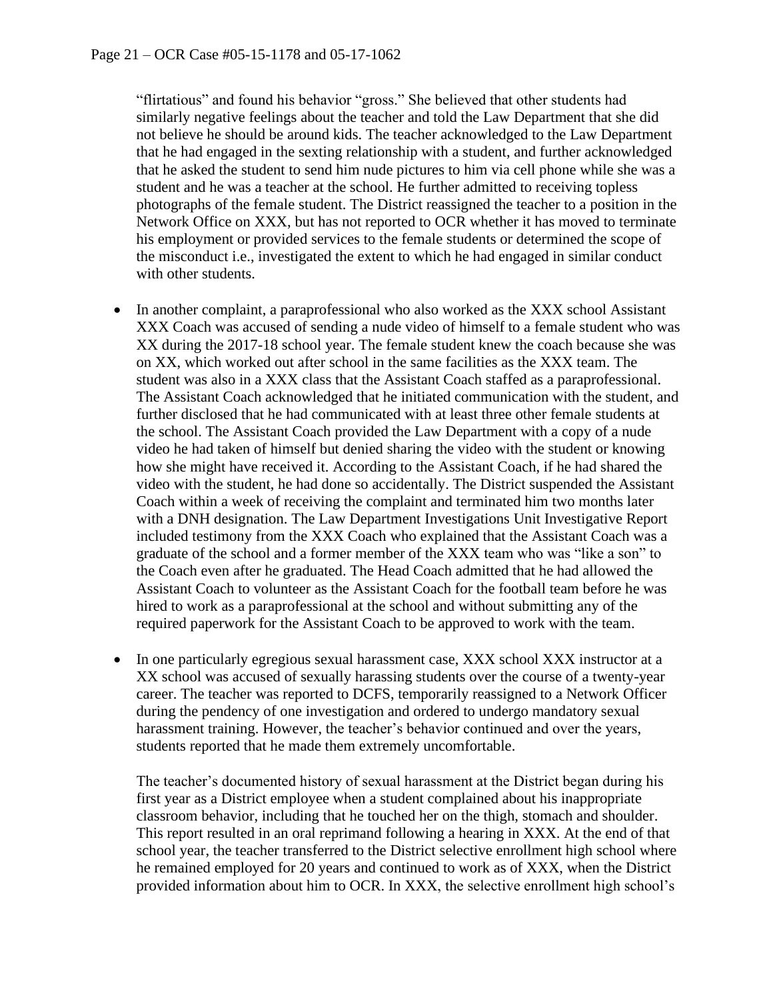"flirtatious" and found his behavior "gross." She believed that other students had similarly negative feelings about the teacher and told the Law Department that she did not believe he should be around kids. The teacher acknowledged to the Law Department that he had engaged in the sexting relationship with a student, and further acknowledged that he asked the student to send him nude pictures to him via cell phone while she was a student and he was a teacher at the school. He further admitted to receiving topless photographs of the female student. The District reassigned the teacher to a position in the Network Office on XXX, but has not reported to OCR whether it has moved to terminate his employment or provided services to the female students or determined the scope of the misconduct i.e., investigated the extent to which he had engaged in similar conduct with other students.

- In another complaint, a paraprofessional who also worked as the XXX school Assistant XXX Coach was accused of sending a nude video of himself to a female student who was XX during the 2017-18 school year. The female student knew the coach because she was on XX, which worked out after school in the same facilities as the XXX team. The student was also in a XXX class that the Assistant Coach staffed as a paraprofessional. The Assistant Coach acknowledged that he initiated communication with the student, and further disclosed that he had communicated with at least three other female students at the school. The Assistant Coach provided the Law Department with a copy of a nude video he had taken of himself but denied sharing the video with the student or knowing how she might have received it. According to the Assistant Coach, if he had shared the video with the student, he had done so accidentally. The District suspended the Assistant Coach within a week of receiving the complaint and terminated him two months later with a DNH designation. The Law Department Investigations Unit Investigative Report included testimony from the XXX Coach who explained that the Assistant Coach was a graduate of the school and a former member of the XXX team who was "like a son" to the Coach even after he graduated. The Head Coach admitted that he had allowed the Assistant Coach to volunteer as the Assistant Coach for the football team before he was hired to work as a paraprofessional at the school and without submitting any of the required paperwork for the Assistant Coach to be approved to work with the team.
- In one particularly egregious sexual harassment case, XXX school XXX instructor at a XX school was accused of sexually harassing students over the course of a twenty-year career. The teacher was reported to DCFS, temporarily reassigned to a Network Officer during the pendency of one investigation and ordered to undergo mandatory sexual harassment training. However, the teacher's behavior continued and over the years, students reported that he made them extremely uncomfortable.

The teacher's documented history of sexual harassment at the District began during his first year as a District employee when a student complained about his inappropriate classroom behavior, including that he touched her on the thigh, stomach and shoulder. This report resulted in an oral reprimand following a hearing in XXX. At the end of that school year, the teacher transferred to the District selective enrollment high school where he remained employed for 20 years and continued to work as of XXX, when the District provided information about him to OCR. In XXX, the selective enrollment high school's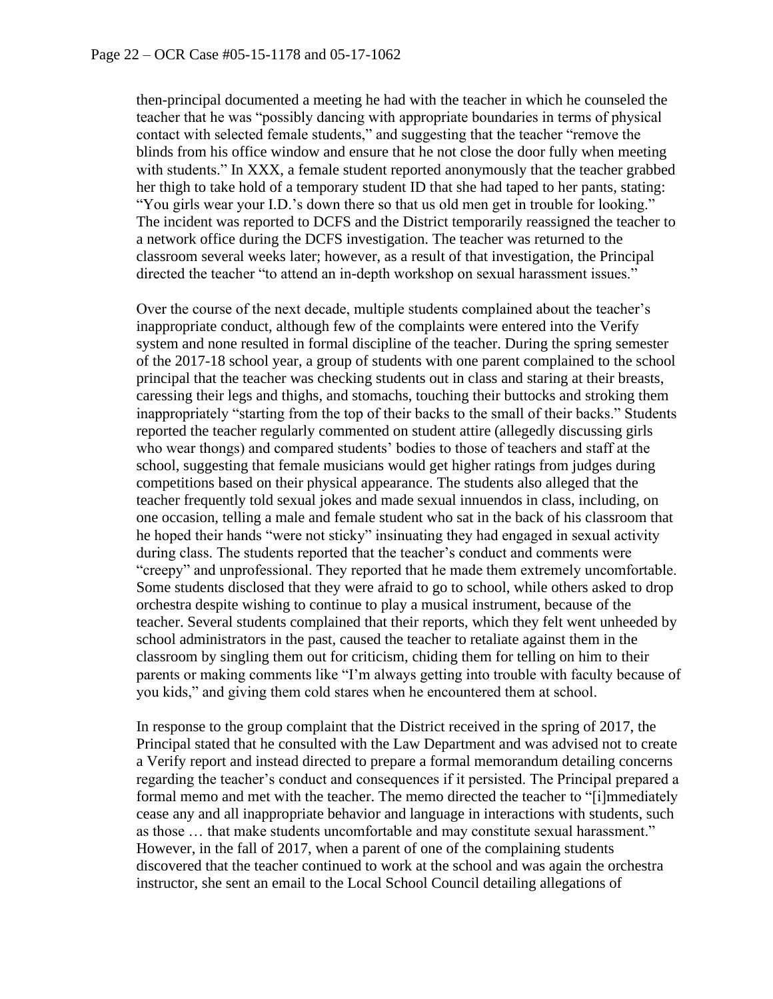then-principal documented a meeting he had with the teacher in which he counseled the teacher that he was "possibly dancing with appropriate boundaries in terms of physical contact with selected female students," and suggesting that the teacher "remove the blinds from his office window and ensure that he not close the door fully when meeting with students." In XXX, a female student reported anonymously that the teacher grabbed her thigh to take hold of a temporary student ID that she had taped to her pants, stating: "You girls wear your I.D.'s down there so that us old men get in trouble for looking." The incident was reported to DCFS and the District temporarily reassigned the teacher to a network office during the DCFS investigation. The teacher was returned to the classroom several weeks later; however, as a result of that investigation, the Principal directed the teacher "to attend an in-depth workshop on sexual harassment issues."

Over the course of the next decade, multiple students complained about the teacher's inappropriate conduct, although few of the complaints were entered into the Verify system and none resulted in formal discipline of the teacher. During the spring semester of the 2017-18 school year, a group of students with one parent complained to the school principal that the teacher was checking students out in class and staring at their breasts, caressing their legs and thighs, and stomachs, touching their buttocks and stroking them inappropriately "starting from the top of their backs to the small of their backs." Students reported the teacher regularly commented on student attire (allegedly discussing girls who wear thongs) and compared students' bodies to those of teachers and staff at the school, suggesting that female musicians would get higher ratings from judges during competitions based on their physical appearance. The students also alleged that the teacher frequently told sexual jokes and made sexual innuendos in class, including, on one occasion, telling a male and female student who sat in the back of his classroom that he hoped their hands "were not sticky" insinuating they had engaged in sexual activity during class. The students reported that the teacher's conduct and comments were "creepy" and unprofessional. They reported that he made them extremely uncomfortable. Some students disclosed that they were afraid to go to school, while others asked to drop orchestra despite wishing to continue to play a musical instrument, because of the teacher. Several students complained that their reports, which they felt went unheeded by school administrators in the past, caused the teacher to retaliate against them in the classroom by singling them out for criticism, chiding them for telling on him to their parents or making comments like "I'm always getting into trouble with faculty because of you kids," and giving them cold stares when he encountered them at school.

In response to the group complaint that the District received in the spring of 2017, the Principal stated that he consulted with the Law Department and was advised not to create a Verify report and instead directed to prepare a formal memorandum detailing concerns regarding the teacher's conduct and consequences if it persisted. The Principal prepared a formal memo and met with the teacher. The memo directed the teacher to "[i]mmediately cease any and all inappropriate behavior and language in interactions with students, such as those … that make students uncomfortable and may constitute sexual harassment." However, in the fall of 2017, when a parent of one of the complaining students discovered that the teacher continued to work at the school and was again the orchestra instructor, she sent an email to the Local School Council detailing allegations of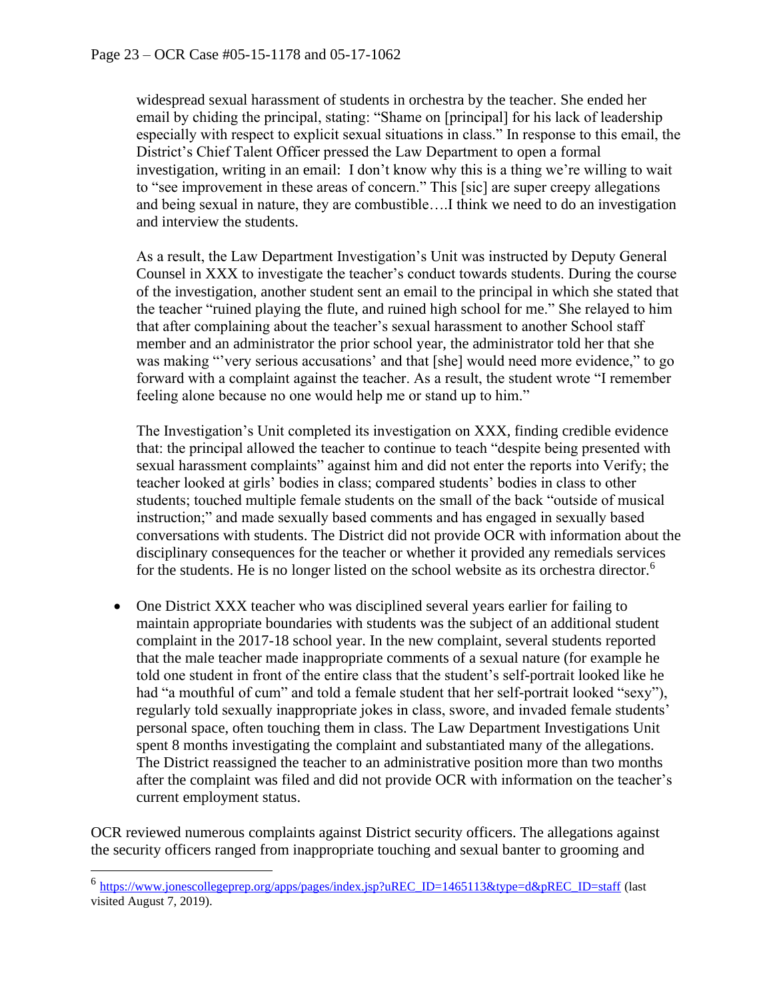widespread sexual harassment of students in orchestra by the teacher. She ended her email by chiding the principal, stating: "Shame on [principal] for his lack of leadership especially with respect to explicit sexual situations in class." In response to this email, the District's Chief Talent Officer pressed the Law Department to open a formal investigation, writing in an email: I don't know why this is a thing we're willing to wait to "see improvement in these areas of concern." This [sic] are super creepy allegations and being sexual in nature, they are combustible….I think we need to do an investigation and interview the students.

As a result, the Law Department Investigation's Unit was instructed by Deputy General Counsel in XXX to investigate the teacher's conduct towards students. During the course of the investigation, another student sent an email to the principal in which she stated that the teacher "ruined playing the flute, and ruined high school for me." She relayed to him that after complaining about the teacher's sexual harassment to another School staff member and an administrator the prior school year, the administrator told her that she was making "'very serious accusations' and that [she] would need more evidence," to go forward with a complaint against the teacher. As a result, the student wrote "I remember feeling alone because no one would help me or stand up to him."

The Investigation's Unit completed its investigation on XXX, finding credible evidence that: the principal allowed the teacher to continue to teach "despite being presented with sexual harassment complaints" against him and did not enter the reports into Verify; the teacher looked at girls' bodies in class; compared students' bodies in class to other students; touched multiple female students on the small of the back "outside of musical instruction;" and made sexually based comments and has engaged in sexually based conversations with students. The District did not provide OCR with information about the disciplinary consequences for the teacher or whether it provided any remedials services for the students. He is no longer listed on the school website as its orchestra director.<sup>6</sup>

• One District XXX teacher who was disciplined several years earlier for failing to maintain appropriate boundaries with students was the subject of an additional student complaint in the 2017-18 school year. In the new complaint, several students reported that the male teacher made inappropriate comments of a sexual nature (for example he told one student in front of the entire class that the student's self-portrait looked like he had "a mouthful of cum" and told a female student that her self-portrait looked "sexy"), regularly told sexually inappropriate jokes in class, swore, and invaded female students' personal space, often touching them in class. The Law Department Investigations Unit spent 8 months investigating the complaint and substantiated many of the allegations. The District reassigned the teacher to an administrative position more than two months after the complaint was filed and did not provide OCR with information on the teacher's current employment status.

OCR reviewed numerous complaints against District security officers. The allegations against the security officers ranged from inappropriate touching and sexual banter to grooming and

<sup>&</sup>lt;sup>6</sup> [https://www.jonescollegeprep.org/apps/pages/index.jsp?uREC\\_ID=1465113&type=d&pREC\\_ID=staff](https://www.jonescollegeprep.org/apps/pages/index.jsp?uREC_ID=1465113&type=d&pREC_ID=staff) (last visited August 7, 2019).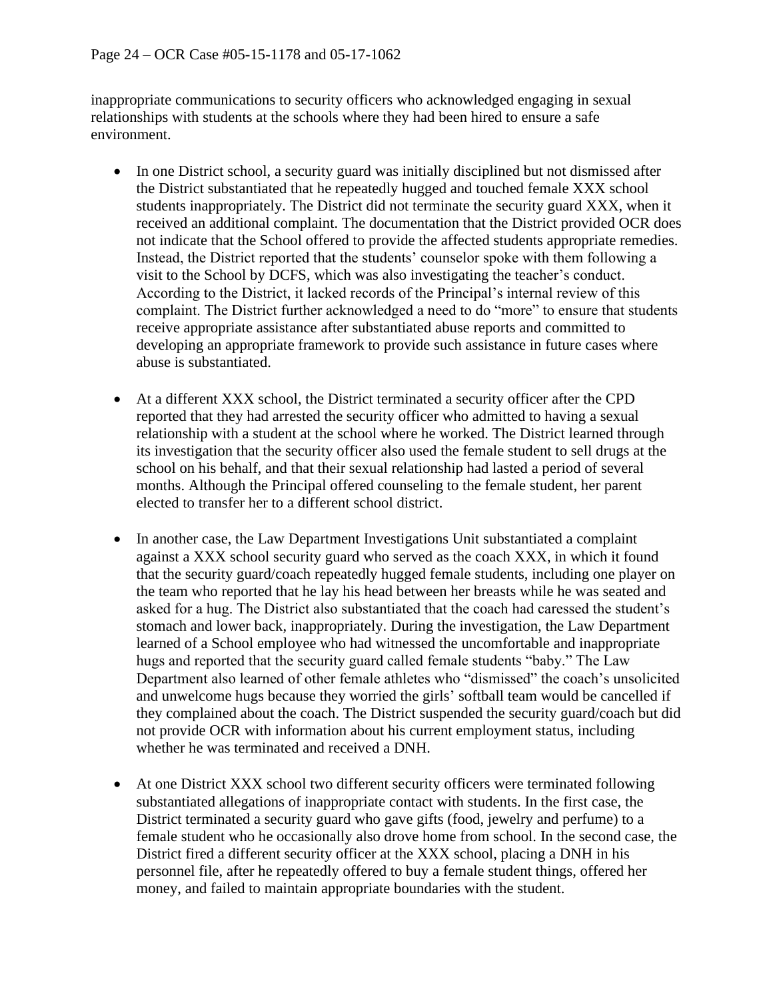inappropriate communications to security officers who acknowledged engaging in sexual relationships with students at the schools where they had been hired to ensure a safe environment.

- In one District school, a security guard was initially disciplined but not dismissed after the District substantiated that he repeatedly hugged and touched female XXX school students inappropriately. The District did not terminate the security guard XXX, when it received an additional complaint. The documentation that the District provided OCR does not indicate that the School offered to provide the affected students appropriate remedies. Instead, the District reported that the students' counselor spoke with them following a visit to the School by DCFS, which was also investigating the teacher's conduct. According to the District, it lacked records of the Principal's internal review of this complaint. The District further acknowledged a need to do "more" to ensure that students receive appropriate assistance after substantiated abuse reports and committed to developing an appropriate framework to provide such assistance in future cases where abuse is substantiated.
- At a different XXX school, the District terminated a security officer after the CPD reported that they had arrested the security officer who admitted to having a sexual relationship with a student at the school where he worked. The District learned through its investigation that the security officer also used the female student to sell drugs at the school on his behalf, and that their sexual relationship had lasted a period of several months. Although the Principal offered counseling to the female student, her parent elected to transfer her to a different school district.
- In another case, the Law Department Investigations Unit substantiated a complaint against a XXX school security guard who served as the coach XXX, in which it found that the security guard/coach repeatedly hugged female students, including one player on the team who reported that he lay his head between her breasts while he was seated and asked for a hug. The District also substantiated that the coach had caressed the student's stomach and lower back, inappropriately. During the investigation, the Law Department learned of a School employee who had witnessed the uncomfortable and inappropriate hugs and reported that the security guard called female students "baby." The Law Department also learned of other female athletes who "dismissed" the coach's unsolicited and unwelcome hugs because they worried the girls' softball team would be cancelled if they complained about the coach. The District suspended the security guard/coach but did not provide OCR with information about his current employment status, including whether he was terminated and received a DNH.
- At one District XXX school two different security officers were terminated following substantiated allegations of inappropriate contact with students. In the first case, the District terminated a security guard who gave gifts (food, jewelry and perfume) to a female student who he occasionally also drove home from school. In the second case, the District fired a different security officer at the XXX school, placing a DNH in his personnel file, after he repeatedly offered to buy a female student things, offered her money, and failed to maintain appropriate boundaries with the student.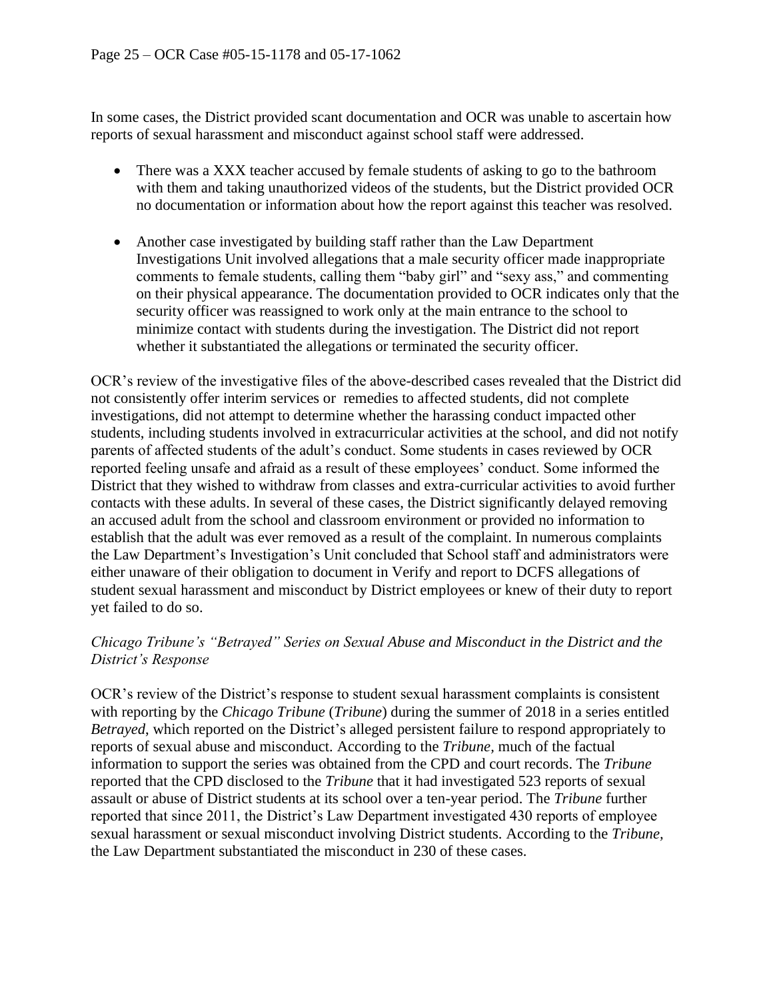In some cases, the District provided scant documentation and OCR was unable to ascertain how reports of sexual harassment and misconduct against school staff were addressed.

- There was a XXX teacher accused by female students of asking to go to the bathroom with them and taking unauthorized videos of the students, but the District provided OCR no documentation or information about how the report against this teacher was resolved.
- Another case investigated by building staff rather than the Law Department Investigations Unit involved allegations that a male security officer made inappropriate comments to female students, calling them "baby girl" and "sexy ass," and commenting on their physical appearance. The documentation provided to OCR indicates only that the security officer was reassigned to work only at the main entrance to the school to minimize contact with students during the investigation. The District did not report whether it substantiated the allegations or terminated the security officer.

OCR's review of the investigative files of the above-described cases revealed that the District did not consistently offer interim services or remedies to affected students, did not complete investigations, did not attempt to determine whether the harassing conduct impacted other students, including students involved in extracurricular activities at the school, and did not notify parents of affected students of the adult's conduct. Some students in cases reviewed by OCR reported feeling unsafe and afraid as a result of these employees' conduct. Some informed the District that they wished to withdraw from classes and extra-curricular activities to avoid further contacts with these adults. In several of these cases, the District significantly delayed removing an accused adult from the school and classroom environment or provided no information to establish that the adult was ever removed as a result of the complaint. In numerous complaints the Law Department's Investigation's Unit concluded that School staff and administrators were either unaware of their obligation to document in Verify and report to DCFS allegations of student sexual harassment and misconduct by District employees or knew of their duty to report yet failed to do so.

### *Chicago Tribune's "Betrayed" Series on Sexual Abuse and Misconduct in the District and the District's Response*

OCR's review of the District's response to student sexual harassment complaints is consistent with reporting by the *Chicago Tribune* (*Tribune*) during the summer of 2018 in a series entitled *Betrayed*, which reported on the District's alleged persistent failure to respond appropriately to reports of sexual abuse and misconduct. According to the *Tribune,* much of the factual information to support the series was obtained from the CPD and court records. The *Tribune*  reported that the CPD disclosed to the *Tribune* that it had investigated 523 reports of sexual assault or abuse of District students at its school over a ten-year period. The *Tribune* further reported that since 2011, the District's Law Department investigated 430 reports of employee sexual harassment or sexual misconduct involving District students. According to the *Tribune,*  the Law Department substantiated the misconduct in 230 of these cases.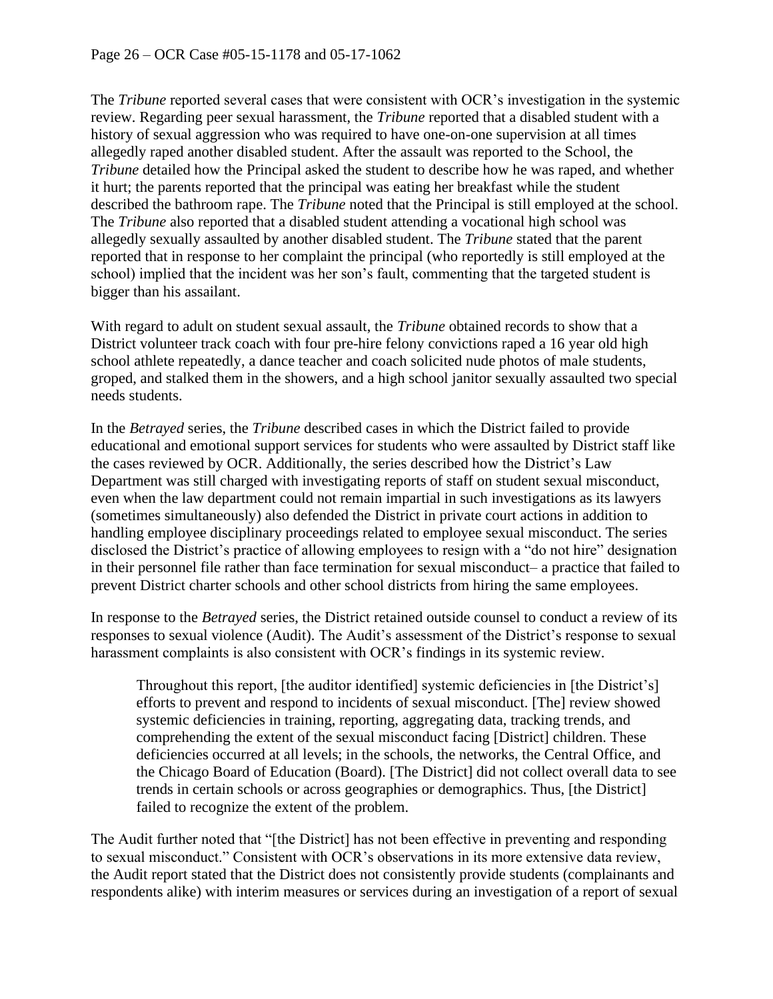The *Tribune* reported several cases that were consistent with OCR's investigation in the systemic review. Regarding peer sexual harassment, the *Tribune* reported that a disabled student with a history of sexual aggression who was required to have one-on-one supervision at all times allegedly raped another disabled student. After the assault was reported to the School, the *Tribune* detailed how the Principal asked the student to describe how he was raped, and whether it hurt; the parents reported that the principal was eating her breakfast while the student described the bathroom rape. The *Tribune* noted that the Principal is still employed at the school. The *Tribune* also reported that a disabled student attending a vocational high school was allegedly sexually assaulted by another disabled student. The *Tribune* stated that the parent reported that in response to her complaint the principal (who reportedly is still employed at the school) implied that the incident was her son's fault, commenting that the targeted student is bigger than his assailant.

With regard to adult on student sexual assault, the *Tribune* obtained records to show that a District volunteer track coach with four pre-hire felony convictions raped a 16 year old high school athlete repeatedly, a dance teacher and coach solicited nude photos of male students, groped, and stalked them in the showers, and a high school janitor sexually assaulted two special needs students.

In the *Betrayed* series, the *Tribune* described cases in which the District failed to provide educational and emotional support services for students who were assaulted by District staff like the cases reviewed by OCR. Additionally, the series described how the District's Law Department was still charged with investigating reports of staff on student sexual misconduct, even when the law department could not remain impartial in such investigations as its lawyers (sometimes simultaneously) also defended the District in private court actions in addition to handling employee disciplinary proceedings related to employee sexual misconduct. The series disclosed the District's practice of allowing employees to resign with a "do not hire" designation in their personnel file rather than face termination for sexual misconduct– a practice that failed to prevent District charter schools and other school districts from hiring the same employees.

In response to the *Betrayed* series, the District retained outside counsel to conduct a review of its responses to sexual violence (Audit). The Audit's assessment of the District's response to sexual harassment complaints is also consistent with OCR's findings in its systemic review.

Throughout this report, [the auditor identified] systemic deficiencies in [the District's] efforts to prevent and respond to incidents of sexual misconduct. [The] review showed systemic deficiencies in training, reporting, aggregating data, tracking trends, and comprehending the extent of the sexual misconduct facing [District] children. These deficiencies occurred at all levels; in the schools, the networks, the Central Office, and the Chicago Board of Education (Board). [The District] did not collect overall data to see trends in certain schools or across geographies or demographics. Thus, [the District] failed to recognize the extent of the problem.

The Audit further noted that "[the District] has not been effective in preventing and responding to sexual misconduct." Consistent with OCR's observations in its more extensive data review, the Audit report stated that the District does not consistently provide students (complainants and respondents alike) with interim measures or services during an investigation of a report of sexual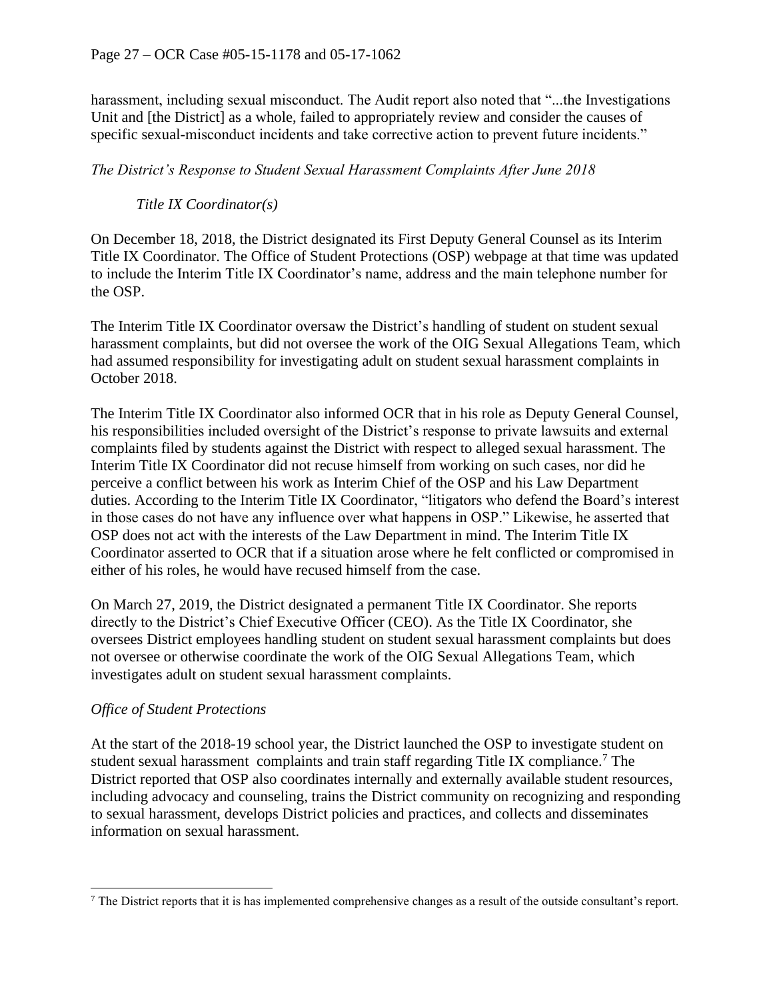harassment, including sexual misconduct. The Audit report also noted that "...the Investigations Unit and [the District] as a whole, failed to appropriately review and consider the causes of specific sexual-misconduct incidents and take corrective action to prevent future incidents."

#### *The District's Response to Student Sexual Harassment Complaints After June 2018*

### *Title IX Coordinator(s)*

On December 18, 2018, the District designated its First Deputy General Counsel as its Interim Title IX Coordinator. The Office of Student Protections (OSP) webpage at that time was updated to include the Interim Title IX Coordinator's name, address and the main telephone number for the OSP.

The Interim Title IX Coordinator oversaw the District's handling of student on student sexual harassment complaints, but did not oversee the work of the OIG Sexual Allegations Team, which had assumed responsibility for investigating adult on student sexual harassment complaints in October 2018.

The Interim Title IX Coordinator also informed OCR that in his role as Deputy General Counsel, his responsibilities included oversight of the District's response to private lawsuits and external complaints filed by students against the District with respect to alleged sexual harassment. The Interim Title IX Coordinator did not recuse himself from working on such cases, nor did he perceive a conflict between his work as Interim Chief of the OSP and his Law Department duties. According to the Interim Title IX Coordinator, "litigators who defend the Board's interest in those cases do not have any influence over what happens in OSP." Likewise, he asserted that OSP does not act with the interests of the Law Department in mind. The Interim Title IX Coordinator asserted to OCR that if a situation arose where he felt conflicted or compromised in either of his roles, he would have recused himself from the case.

On March 27, 2019, the District designated a permanent Title IX Coordinator. She reports directly to the District's Chief Executive Officer (CEO). As the Title IX Coordinator, she oversees District employees handling student on student sexual harassment complaints but does not oversee or otherwise coordinate the work of the OIG Sexual Allegations Team, which investigates adult on student sexual harassment complaints.

#### *Office of Student Protections*

At the start of the 2018-19 school year, the District launched the OSP to investigate student on student sexual harassment complaints and train staff regarding Title IX compliance.<sup>7</sup> The District reported that OSP also coordinates internally and externally available student resources, including advocacy and counseling, trains the District community on recognizing and responding to sexual harassment, develops District policies and practices, and collects and disseminates information on sexual harassment.

<sup>7</sup> The District reports that it is has implemented comprehensive changes as a result of the outside consultant's report.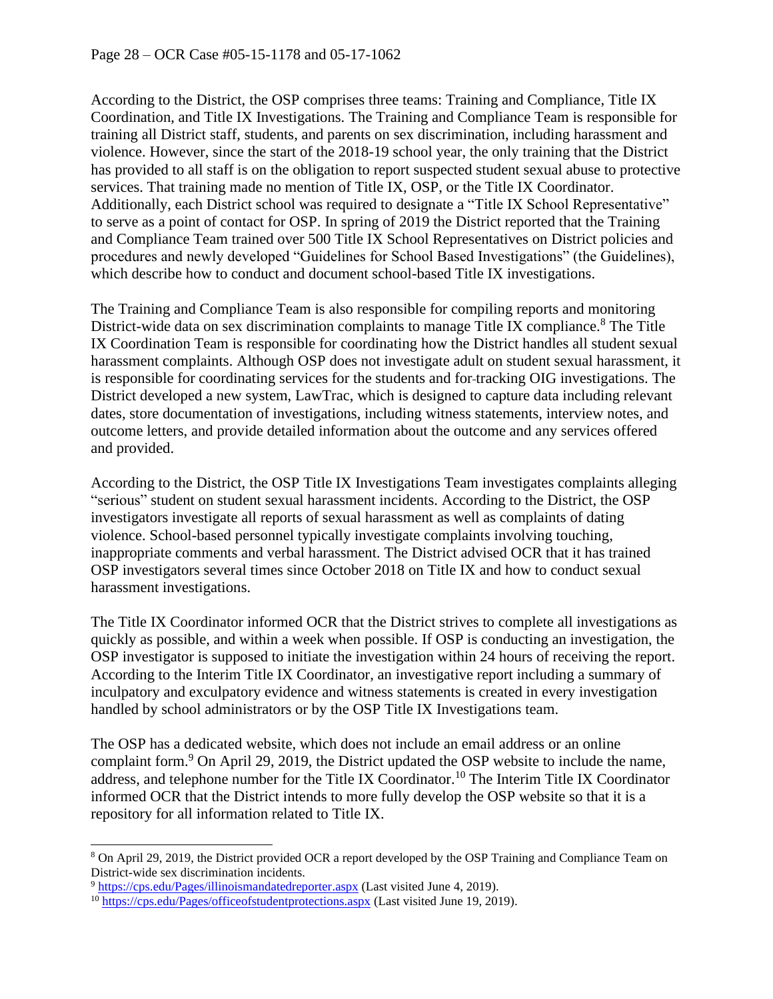According to the District, the OSP comprises three teams: Training and Compliance, Title IX Coordination, and Title IX Investigations. The Training and Compliance Team is responsible for training all District staff, students, and parents on sex discrimination, including harassment and violence. However, since the start of the 2018-19 school year, the only training that the District has provided to all staff is on the obligation to report suspected student sexual abuse to protective services. That training made no mention of Title IX, OSP, or the Title IX Coordinator. Additionally, each District school was required to designate a "Title IX School Representative" to serve as a point of contact for OSP. In spring of 2019 the District reported that the Training and Compliance Team trained over 500 Title IX School Representatives on District policies and procedures and newly developed "Guidelines for School Based Investigations" (the Guidelines), which describe how to conduct and document school-based Title IX investigations.

The Training and Compliance Team is also responsible for compiling reports and monitoring District-wide data on sex discrimination complaints to manage Title IX compliance.<sup>8</sup> The Title IX Coordination Team is responsible for coordinating how the District handles all student sexual harassment complaints. Although OSP does not investigate adult on student sexual harassment, it is responsible for coordinating services for the students and for tracking OIG investigations. The District developed a new system, LawTrac, which is designed to capture data including relevant dates, store documentation of investigations, including witness statements, interview notes, and outcome letters, and provide detailed information about the outcome and any services offered and provided.

According to the District, the OSP Title IX Investigations Team investigates complaints alleging "serious" student on student sexual harassment incidents. According to the District, the OSP investigators investigate all reports of sexual harassment as well as complaints of dating violence. School-based personnel typically investigate complaints involving touching, inappropriate comments and verbal harassment. The District advised OCR that it has trained OSP investigators several times since October 2018 on Title IX and how to conduct sexual harassment investigations.

The Title IX Coordinator informed OCR that the District strives to complete all investigations as quickly as possible, and within a week when possible. If OSP is conducting an investigation, the OSP investigator is supposed to initiate the investigation within 24 hours of receiving the report. According to the Interim Title IX Coordinator, an investigative report including a summary of inculpatory and exculpatory evidence and witness statements is created in every investigation handled by school administrators or by the OSP Title IX Investigations team.

The OSP has a dedicated website, which does not include an email address or an online complaint form.<sup>9</sup> On April 29, 2019, the District updated the OSP website to include the name, address, and telephone number for the Title IX Coordinator.<sup>10</sup> The Interim Title IX Coordinator informed OCR that the District intends to more fully develop the OSP website so that it is a repository for all information related to Title IX.

<sup>8</sup> On April 29, 2019, the District provided OCR a report developed by the OSP Training and Compliance Team on District-wide sex discrimination incidents.

<sup>&</sup>lt;sup>9</sup> <https://cps.edu/Pages/illinoismandatedreporter.aspx> (Last visited June 4, 2019).

<sup>&</sup>lt;sup>10</sup> <https://cps.edu/Pages/officeofstudentprotections.aspx> (Last visited June 19, 2019).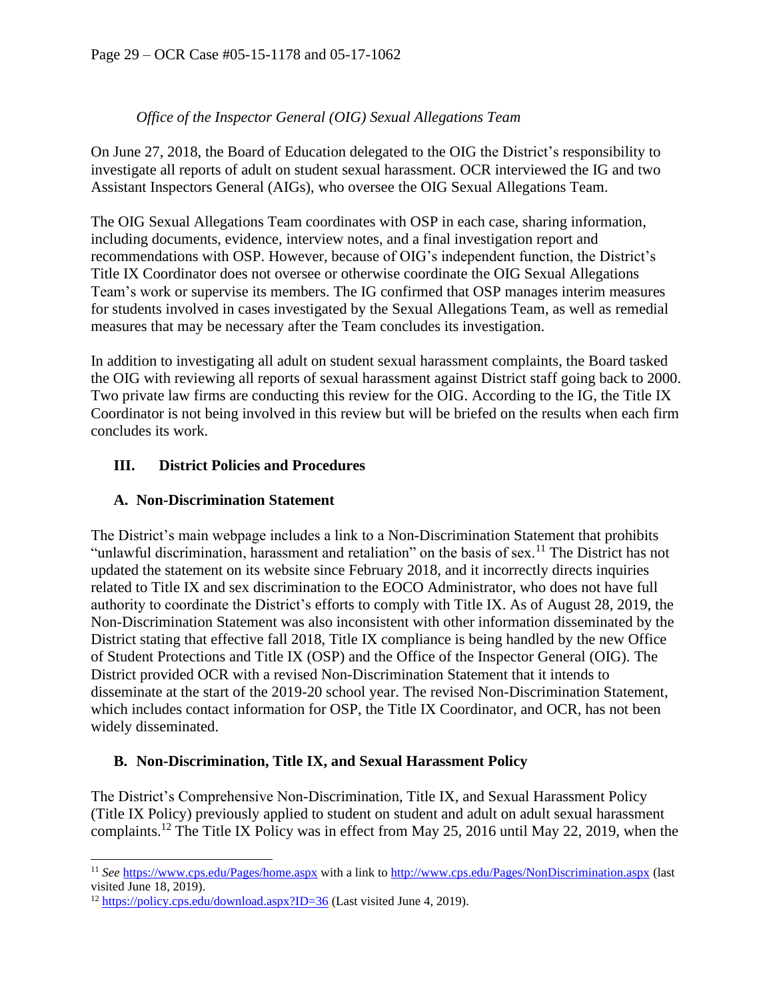### *Office of the Inspector General (OIG) Sexual Allegations Team*

On June 27, 2018, the Board of Education delegated to the OIG the District's responsibility to investigate all reports of adult on student sexual harassment. OCR interviewed the IG and two Assistant Inspectors General (AIGs), who oversee the OIG Sexual Allegations Team.

The OIG Sexual Allegations Team coordinates with OSP in each case, sharing information, including documents, evidence, interview notes, and a final investigation report and recommendations with OSP. However, because of OIG's independent function, the District's Title IX Coordinator does not oversee or otherwise coordinate the OIG Sexual Allegations Team's work or supervise its members. The IG confirmed that OSP manages interim measures for students involved in cases investigated by the Sexual Allegations Team, as well as remedial measures that may be necessary after the Team concludes its investigation.

In addition to investigating all adult on student sexual harassment complaints, the Board tasked the OIG with reviewing all reports of sexual harassment against District staff going back to 2000. Two private law firms are conducting this review for the OIG. According to the IG, the Title IX Coordinator is not being involved in this review but will be briefed on the results when each firm concludes its work.

### **III. District Policies and Procedures**

### **A. Non-Discrimination Statement**

The District's main webpage includes a link to a Non-Discrimination Statement that prohibits "unlawful discrimination, harassment and retaliation" on the basis of sex.<sup>11</sup> The District has not updated the statement on its website since February 2018, and it incorrectly directs inquiries related to Title IX and sex discrimination to the EOCO Administrator, who does not have full authority to coordinate the District's efforts to comply with Title IX. As of August 28, 2019, the Non-Discrimination Statement was also inconsistent with other information disseminated by the District stating that effective fall 2018, Title IX compliance is being handled by the new Office of Student Protections and Title IX (OSP) and the Office of the Inspector General (OIG). The District provided OCR with a revised Non-Discrimination Statement that it intends to disseminate at the start of the 2019-20 school year. The revised Non-Discrimination Statement, which includes contact information for OSP, the Title IX Coordinator, and OCR, has not been widely disseminated.

#### **B. Non-Discrimination, Title IX, and Sexual Harassment Policy**

The District's Comprehensive Non-Discrimination, Title IX, and Sexual Harassment Policy (Title IX Policy) previously applied to student on student and adult on adult sexual harassment complaints.<sup>12</sup> The Title IX Policy was in effect from May 25, 2016 until May 22, 2019, when the

<sup>11</sup> *See* <https://www.cps.edu/Pages/home.aspx> with a link t[o http://www.cps.edu/Pages/NonDiscrimination.aspx](http://www.cps.edu/Pages/NonDiscrimination.aspx) (last visited June 18, 2019).

<sup>&</sup>lt;sup>12</sup> <https://policy.cps.edu/download.aspx?ID=36> (Last visited June 4, 2019).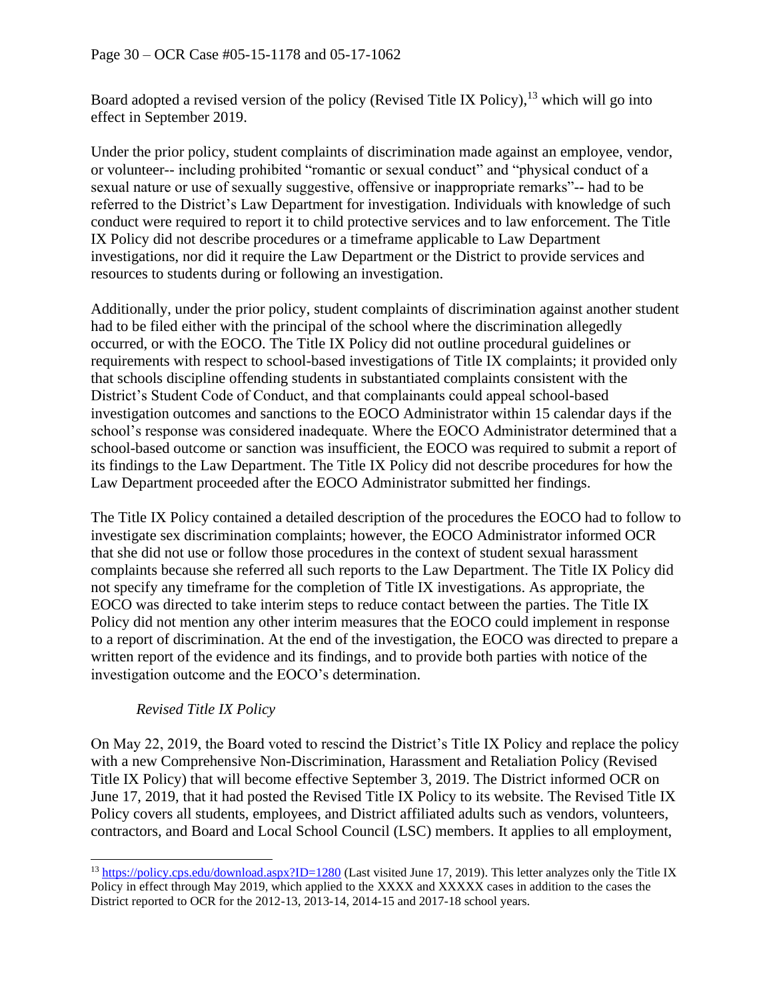Board adopted a revised version of the policy (Revised Title IX Policy),<sup>13</sup> which will go into effect in September 2019.

Under the prior policy, student complaints of discrimination made against an employee, vendor, or volunteer-- including prohibited "romantic or sexual conduct" and "physical conduct of a sexual nature or use of sexually suggestive, offensive or inappropriate remarks"-- had to be referred to the District's Law Department for investigation. Individuals with knowledge of such conduct were required to report it to child protective services and to law enforcement. The Title IX Policy did not describe procedures or a timeframe applicable to Law Department investigations, nor did it require the Law Department or the District to provide services and resources to students during or following an investigation.

Additionally, under the prior policy, student complaints of discrimination against another student had to be filed either with the principal of the school where the discrimination allegedly occurred, or with the EOCO. The Title IX Policy did not outline procedural guidelines or requirements with respect to school-based investigations of Title IX complaints; it provided only that schools discipline offending students in substantiated complaints consistent with the District's Student Code of Conduct, and that complainants could appeal school-based investigation outcomes and sanctions to the EOCO Administrator within 15 calendar days if the school's response was considered inadequate. Where the EOCO Administrator determined that a school-based outcome or sanction was insufficient, the EOCO was required to submit a report of its findings to the Law Department. The Title IX Policy did not describe procedures for how the Law Department proceeded after the EOCO Administrator submitted her findings.

The Title IX Policy contained a detailed description of the procedures the EOCO had to follow to investigate sex discrimination complaints; however, the EOCO Administrator informed OCR that she did not use or follow those procedures in the context of student sexual harassment complaints because she referred all such reports to the Law Department. The Title IX Policy did not specify any timeframe for the completion of Title IX investigations. As appropriate, the EOCO was directed to take interim steps to reduce contact between the parties. The Title IX Policy did not mention any other interim measures that the EOCO could implement in response to a report of discrimination. At the end of the investigation, the EOCO was directed to prepare a written report of the evidence and its findings, and to provide both parties with notice of the investigation outcome and the EOCO's determination.

#### *Revised Title IX Policy*

On May 22, 2019, the Board voted to rescind the District's Title IX Policy and replace the policy with a new Comprehensive Non-Discrimination, Harassment and Retaliation Policy (Revised Title IX Policy) that will become effective September 3, 2019. The District informed OCR on June 17, 2019, that it had posted the Revised Title IX Policy to its website. The Revised Title IX Policy covers all students, employees, and District affiliated adults such as vendors, volunteers, contractors, and Board and Local School Council (LSC) members. It applies to all employment,

<sup>&</sup>lt;sup>13</sup> <https://policy.cps.edu/download.aspx?ID=1280> (Last visited June 17, 2019). This letter analyzes only the Title IX Policy in effect through May 2019, which applied to the XXXX and XXXXX cases in addition to the cases the District reported to OCR for the 2012-13, 2013-14, 2014-15 and 2017-18 school years.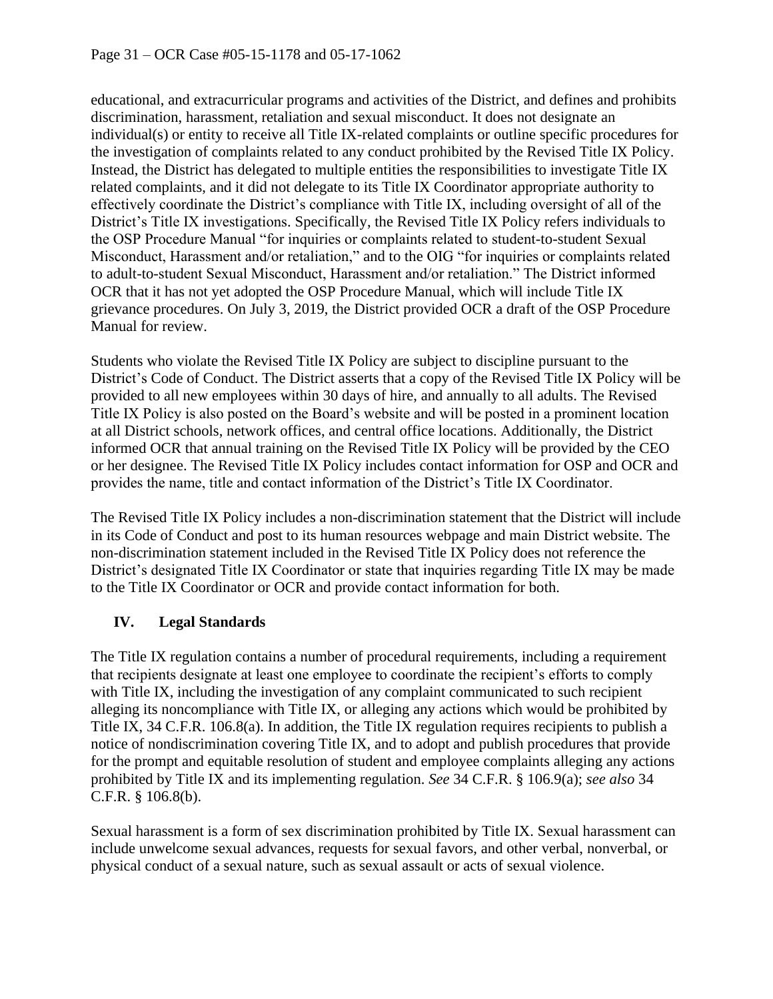educational, and extracurricular programs and activities of the District, and defines and prohibits discrimination, harassment, retaliation and sexual misconduct. It does not designate an individual(s) or entity to receive all Title IX-related complaints or outline specific procedures for the investigation of complaints related to any conduct prohibited by the Revised Title IX Policy. Instead, the District has delegated to multiple entities the responsibilities to investigate Title IX related complaints, and it did not delegate to its Title IX Coordinator appropriate authority to effectively coordinate the District's compliance with Title IX, including oversight of all of the District's Title IX investigations. Specifically, the Revised Title IX Policy refers individuals to the OSP Procedure Manual "for inquiries or complaints related to student-to-student Sexual Misconduct, Harassment and/or retaliation," and to the OIG "for inquiries or complaints related to adult-to-student Sexual Misconduct, Harassment and/or retaliation." The District informed OCR that it has not yet adopted the OSP Procedure Manual, which will include Title IX grievance procedures. On July 3, 2019, the District provided OCR a draft of the OSP Procedure Manual for review.

Students who violate the Revised Title IX Policy are subject to discipline pursuant to the District's Code of Conduct. The District asserts that a copy of the Revised Title IX Policy will be provided to all new employees within 30 days of hire, and annually to all adults. The Revised Title IX Policy is also posted on the Board's website and will be posted in a prominent location at all District schools, network offices, and central office locations. Additionally, the District informed OCR that annual training on the Revised Title IX Policy will be provided by the CEO or her designee. The Revised Title IX Policy includes contact information for OSP and OCR and provides the name, title and contact information of the District's Title IX Coordinator.

The Revised Title IX Policy includes a non-discrimination statement that the District will include in its Code of Conduct and post to its human resources webpage and main District website. The non-discrimination statement included in the Revised Title IX Policy does not reference the District's designated Title IX Coordinator or state that inquiries regarding Title IX may be made to the Title IX Coordinator or OCR and provide contact information for both.

# **IV. Legal Standards**

The Title IX regulation contains a number of procedural requirements, including a requirement that recipients designate at least one employee to coordinate the recipient's efforts to comply with Title IX, including the investigation of any complaint communicated to such recipient alleging its noncompliance with Title IX, or alleging any actions which would be prohibited by Title IX, 34 C.F.R. 106.8(a). In addition, the Title IX regulation requires recipients to publish a notice of nondiscrimination covering Title IX, and to adopt and publish procedures that provide for the prompt and equitable resolution of student and employee complaints alleging any actions prohibited by Title IX and its implementing regulation. *See* 34 C.F.R. § 106.9(a); *see also* 34 C.F.R. § 106.8(b).

Sexual harassment is a form of sex discrimination prohibited by Title IX. Sexual harassment can include unwelcome sexual advances, requests for sexual favors, and other verbal, nonverbal, or physical conduct of a sexual nature, such as sexual assault or acts of sexual violence.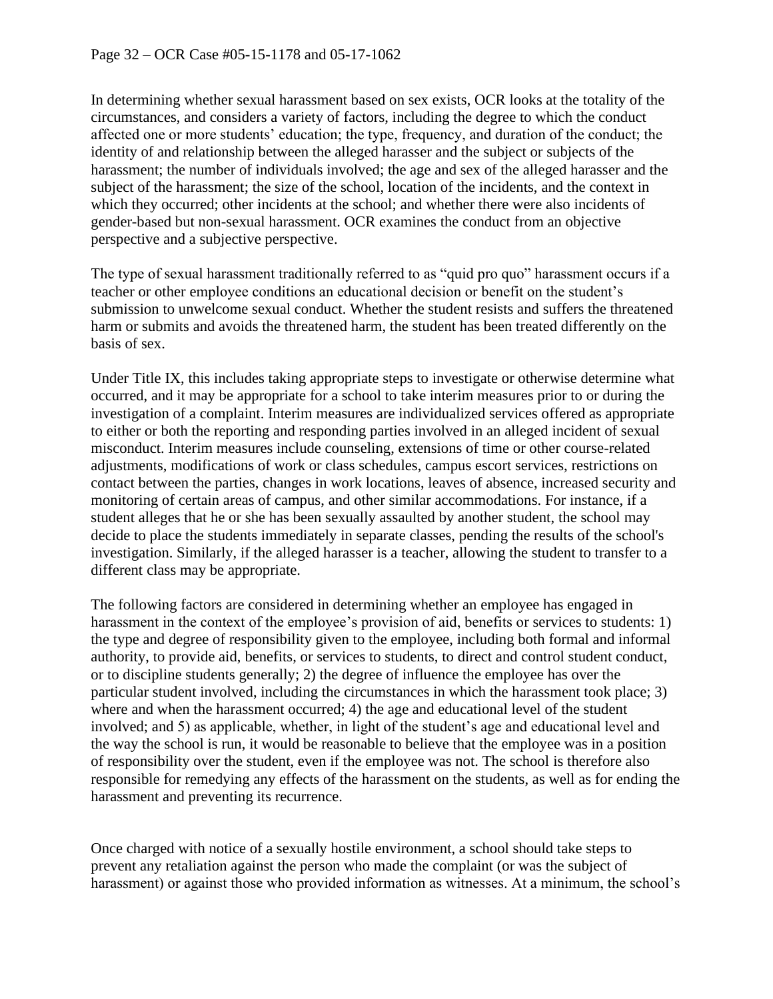In determining whether sexual harassment based on sex exists, OCR looks at the totality of the circumstances, and considers a variety of factors, including the degree to which the conduct affected one or more students' education; the type, frequency, and duration of the conduct; the identity of and relationship between the alleged harasser and the subject or subjects of the harassment; the number of individuals involved; the age and sex of the alleged harasser and the subject of the harassment; the size of the school, location of the incidents, and the context in which they occurred; other incidents at the school; and whether there were also incidents of gender-based but non-sexual harassment. OCR examines the conduct from an objective perspective and a subjective perspective.

The type of sexual harassment traditionally referred to as "quid pro quo" harassment occurs if a teacher or other employee conditions an educational decision or benefit on the student's submission to unwelcome sexual conduct. Whether the student resists and suffers the threatened harm or submits and avoids the threatened harm, the student has been treated differently on the basis of sex.

Under Title IX, this includes taking appropriate steps to investigate or otherwise determine what occurred, and it may be appropriate for a school to take interim measures prior to or during the investigation of a complaint. Interim measures are individualized services offered as appropriate to either or both the reporting and responding parties involved in an alleged incident of sexual misconduct. Interim measures include counseling, extensions of time or other course-related adjustments, modifications of work or class schedules, campus escort services, restrictions on contact between the parties, changes in work locations, leaves of absence, increased security and monitoring of certain areas of campus, and other similar accommodations. For instance, if a student alleges that he or she has been sexually assaulted by another student, the school may decide to place the students immediately in separate classes, pending the results of the school's investigation. Similarly, if the alleged harasser is a teacher, allowing the student to transfer to a different class may be appropriate.

The following factors are considered in determining whether an employee has engaged in harassment in the context of the employee's provision of aid, benefits or services to students: 1) the type and degree of responsibility given to the employee, including both formal and informal authority, to provide aid, benefits, or services to students, to direct and control student conduct, or to discipline students generally; 2) the degree of influence the employee has over the particular student involved, including the circumstances in which the harassment took place; 3) where and when the harassment occurred; 4) the age and educational level of the student involved; and 5) as applicable, whether, in light of the student's age and educational level and the way the school is run, it would be reasonable to believe that the employee was in a position of responsibility over the student, even if the employee was not. The school is therefore also responsible for remedying any effects of the harassment on the students, as well as for ending the harassment and preventing its recurrence.

Once charged with notice of a sexually hostile environment, a school should take steps to prevent any retaliation against the person who made the complaint (or was the subject of harassment) or against those who provided information as witnesses. At a minimum, the school's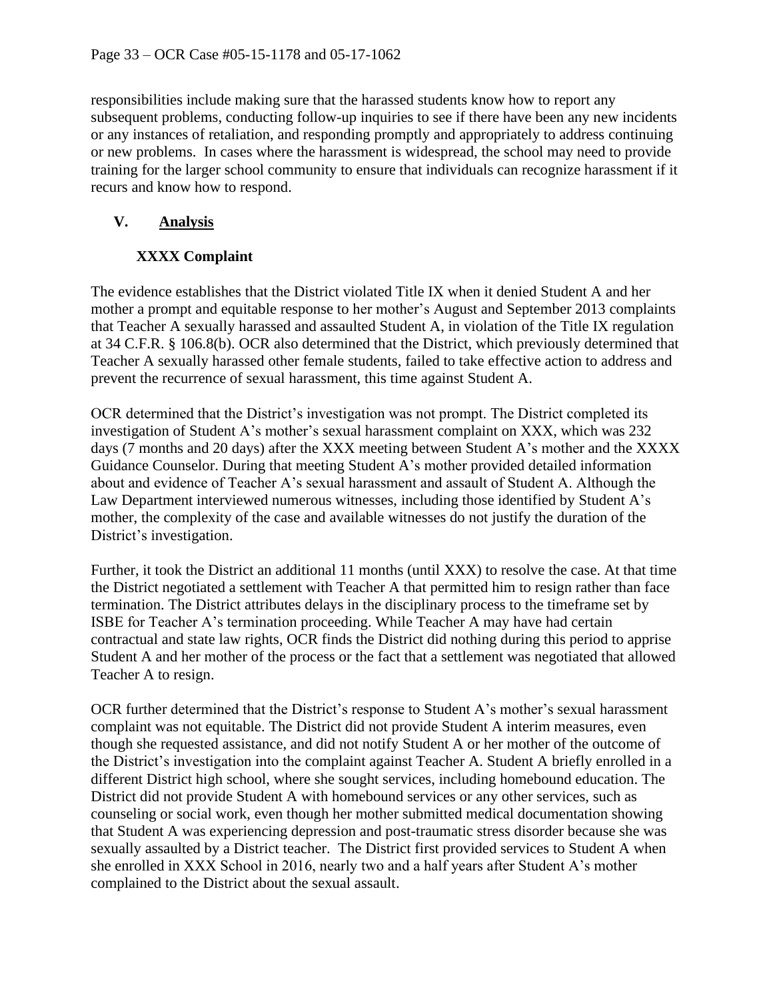responsibilities include making sure that the harassed students know how to report any subsequent problems, conducting follow-up inquiries to see if there have been any new incidents or any instances of retaliation, and responding promptly and appropriately to address continuing or new problems. In cases where the harassment is widespread, the school may need to provide training for the larger school community to ensure that individuals can recognize harassment if it recurs and know how to respond.

# **V. Analysis**

# **XXXX Complaint**

The evidence establishes that the District violated Title IX when it denied Student A and her mother a prompt and equitable response to her mother's August and September 2013 complaints that Teacher A sexually harassed and assaulted Student A, in violation of the Title IX regulation at 34 C.F.R. § 106.8(b). OCR also determined that the District, which previously determined that Teacher A sexually harassed other female students, failed to take effective action to address and prevent the recurrence of sexual harassment, this time against Student A.

OCR determined that the District's investigation was not prompt. The District completed its investigation of Student A's mother's sexual harassment complaint on XXX, which was 232 days (7 months and 20 days) after the XXX meeting between Student A's mother and the XXXX Guidance Counselor. During that meeting Student A's mother provided detailed information about and evidence of Teacher A's sexual harassment and assault of Student A. Although the Law Department interviewed numerous witnesses, including those identified by Student A's mother, the complexity of the case and available witnesses do not justify the duration of the District's investigation.

Further, it took the District an additional 11 months (until XXX) to resolve the case. At that time the District negotiated a settlement with Teacher A that permitted him to resign rather than face termination. The District attributes delays in the disciplinary process to the timeframe set by ISBE for Teacher A's termination proceeding. While Teacher A may have had certain contractual and state law rights, OCR finds the District did nothing during this period to apprise Student A and her mother of the process or the fact that a settlement was negotiated that allowed Teacher A to resign.

OCR further determined that the District's response to Student A's mother's sexual harassment complaint was not equitable. The District did not provide Student A interim measures, even though she requested assistance, and did not notify Student A or her mother of the outcome of the District's investigation into the complaint against Teacher A. Student A briefly enrolled in a different District high school, where she sought services, including homebound education. The District did not provide Student A with homebound services or any other services, such as counseling or social work, even though her mother submitted medical documentation showing that Student A was experiencing depression and post-traumatic stress disorder because she was sexually assaulted by a District teacher. The District first provided services to Student A when she enrolled in XXX School in 2016, nearly two and a half years after Student A's mother complained to the District about the sexual assault.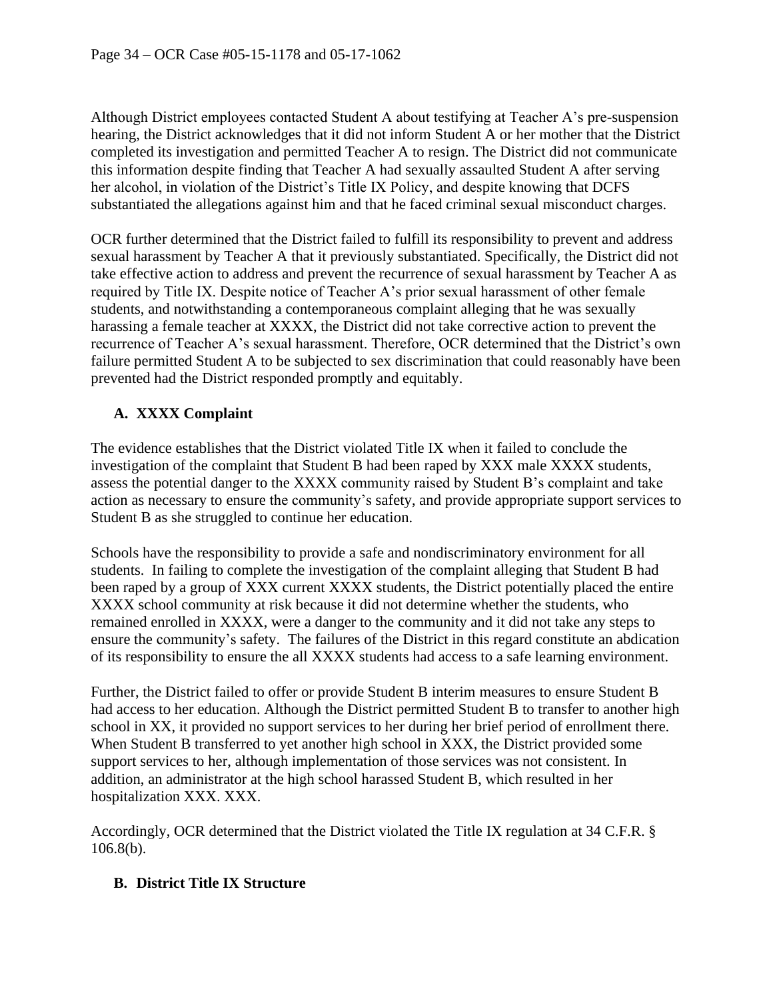Although District employees contacted Student A about testifying at Teacher A's pre-suspension hearing, the District acknowledges that it did not inform Student A or her mother that the District completed its investigation and permitted Teacher A to resign. The District did not communicate this information despite finding that Teacher A had sexually assaulted Student A after serving her alcohol, in violation of the District's Title IX Policy, and despite knowing that DCFS substantiated the allegations against him and that he faced criminal sexual misconduct charges.

OCR further determined that the District failed to fulfill its responsibility to prevent and address sexual harassment by Teacher A that it previously substantiated. Specifically, the District did not take effective action to address and prevent the recurrence of sexual harassment by Teacher A as required by Title IX. Despite notice of Teacher A's prior sexual harassment of other female students, and notwithstanding a contemporaneous complaint alleging that he was sexually harassing a female teacher at XXXX, the District did not take corrective action to prevent the recurrence of Teacher A's sexual harassment. Therefore, OCR determined that the District's own failure permitted Student A to be subjected to sex discrimination that could reasonably have been prevented had the District responded promptly and equitably.

# **A. XXXX Complaint**

The evidence establishes that the District violated Title IX when it failed to conclude the investigation of the complaint that Student B had been raped by XXX male XXXX students, assess the potential danger to the XXXX community raised by Student B's complaint and take action as necessary to ensure the community's safety, and provide appropriate support services to Student B as she struggled to continue her education.

Schools have the responsibility to provide a safe and nondiscriminatory environment for all students. In failing to complete the investigation of the complaint alleging that Student B had been raped by a group of XXX current XXXX students, the District potentially placed the entire XXXX school community at risk because it did not determine whether the students, who remained enrolled in XXXX, were a danger to the community and it did not take any steps to ensure the community's safety. The failures of the District in this regard constitute an abdication of its responsibility to ensure the all XXXX students had access to a safe learning environment.

Further, the District failed to offer or provide Student B interim measures to ensure Student B had access to her education. Although the District permitted Student B to transfer to another high school in XX, it provided no support services to her during her brief period of enrollment there. When Student B transferred to yet another high school in XXX, the District provided some support services to her, although implementation of those services was not consistent. In addition, an administrator at the high school harassed Student B, which resulted in her hospitalization XXX. XXX.

Accordingly, OCR determined that the District violated the Title IX regulation at 34 C.F.R. § 106.8(b).

#### **B. District Title IX Structure**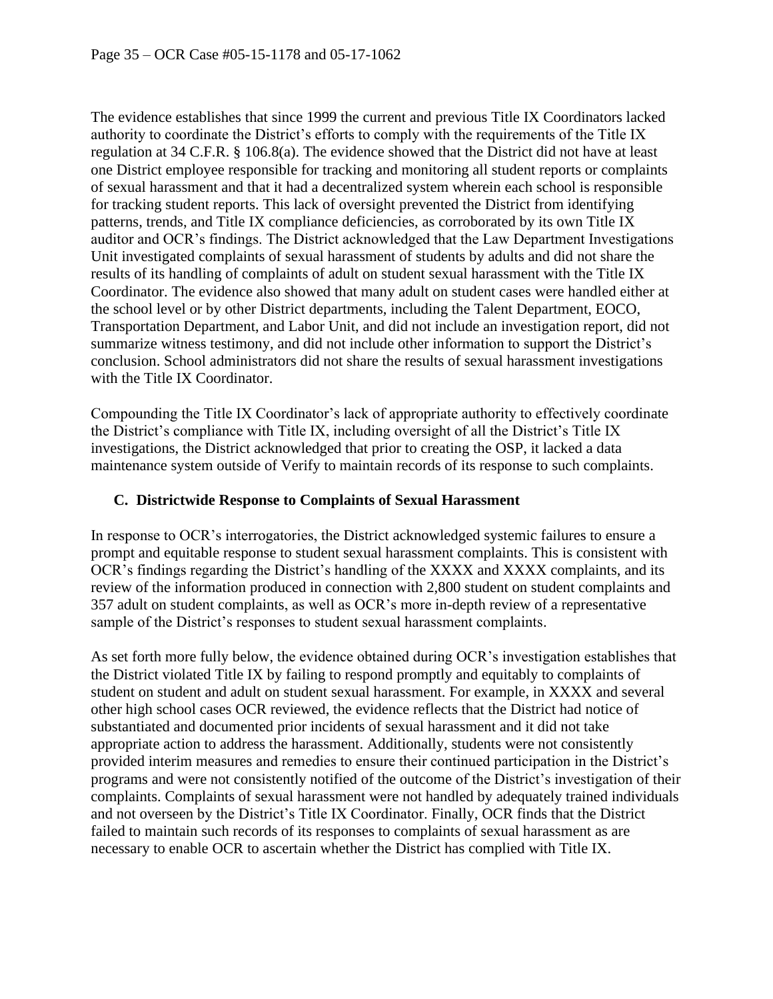The evidence establishes that since 1999 the current and previous Title IX Coordinators lacked authority to coordinate the District's efforts to comply with the requirements of the Title IX regulation at 34 C.F.R. § 106.8(a). The evidence showed that the District did not have at least one District employee responsible for tracking and monitoring all student reports or complaints of sexual harassment and that it had a decentralized system wherein each school is responsible for tracking student reports. This lack of oversight prevented the District from identifying patterns, trends, and Title IX compliance deficiencies, as corroborated by its own Title IX auditor and OCR's findings. The District acknowledged that the Law Department Investigations Unit investigated complaints of sexual harassment of students by adults and did not share the results of its handling of complaints of adult on student sexual harassment with the Title IX Coordinator. The evidence also showed that many adult on student cases were handled either at the school level or by other District departments, including the Talent Department, EOCO, Transportation Department, and Labor Unit, and did not include an investigation report, did not summarize witness testimony, and did not include other information to support the District's conclusion. School administrators did not share the results of sexual harassment investigations with the Title IX Coordinator.

Compounding the Title IX Coordinator's lack of appropriate authority to effectively coordinate the District's compliance with Title IX, including oversight of all the District's Title IX investigations, the District acknowledged that prior to creating the OSP, it lacked a data maintenance system outside of Verify to maintain records of its response to such complaints.

#### **C. Districtwide Response to Complaints of Sexual Harassment**

In response to OCR's interrogatories, the District acknowledged systemic failures to ensure a prompt and equitable response to student sexual harassment complaints. This is consistent with OCR's findings regarding the District's handling of the XXXX and XXXX complaints, and its review of the information produced in connection with 2,800 student on student complaints and 357 adult on student complaints, as well as OCR's more in-depth review of a representative sample of the District's responses to student sexual harassment complaints.

As set forth more fully below, the evidence obtained during OCR's investigation establishes that the District violated Title IX by failing to respond promptly and equitably to complaints of student on student and adult on student sexual harassment. For example, in XXXX and several other high school cases OCR reviewed, the evidence reflects that the District had notice of substantiated and documented prior incidents of sexual harassment and it did not take appropriate action to address the harassment. Additionally, students were not consistently provided interim measures and remedies to ensure their continued participation in the District's programs and were not consistently notified of the outcome of the District's investigation of their complaints. Complaints of sexual harassment were not handled by adequately trained individuals and not overseen by the District's Title IX Coordinator. Finally, OCR finds that the District failed to maintain such records of its responses to complaints of sexual harassment as are necessary to enable OCR to ascertain whether the District has complied with Title IX.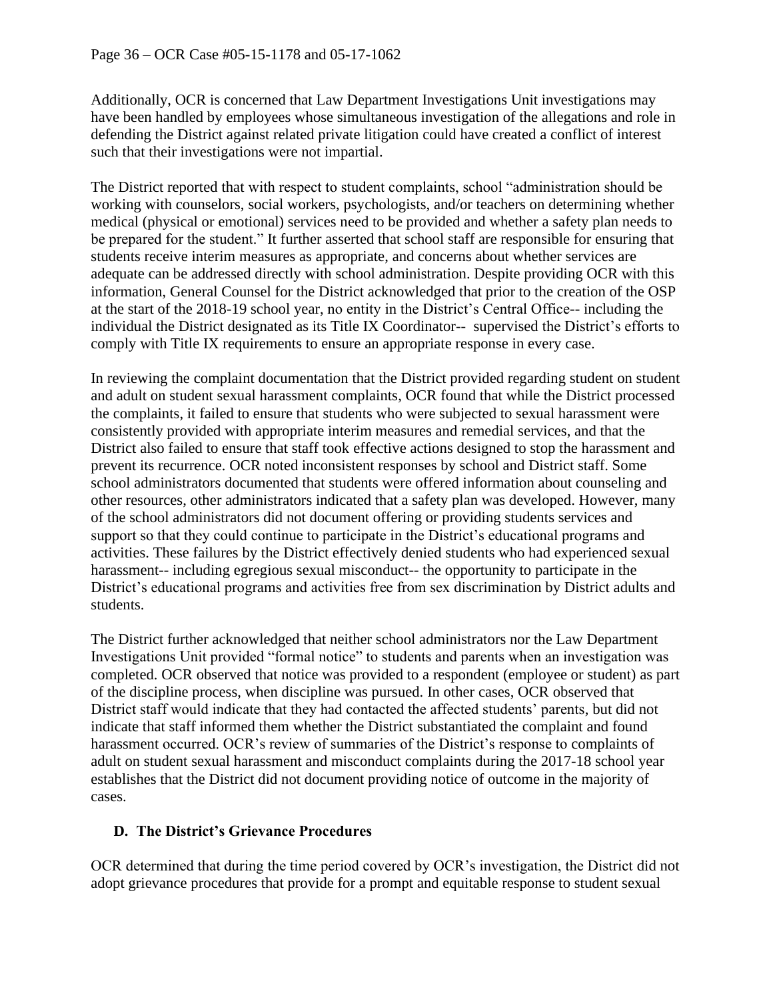Additionally, OCR is concerned that Law Department Investigations Unit investigations may have been handled by employees whose simultaneous investigation of the allegations and role in defending the District against related private litigation could have created a conflict of interest such that their investigations were not impartial.

The District reported that with respect to student complaints, school "administration should be working with counselors, social workers, psychologists, and/or teachers on determining whether medical (physical or emotional) services need to be provided and whether a safety plan needs to be prepared for the student." It further asserted that school staff are responsible for ensuring that students receive interim measures as appropriate, and concerns about whether services are adequate can be addressed directly with school administration. Despite providing OCR with this information, General Counsel for the District acknowledged that prior to the creation of the OSP at the start of the 2018-19 school year, no entity in the District's Central Office-- including the individual the District designated as its Title IX Coordinator-- supervised the District's efforts to comply with Title IX requirements to ensure an appropriate response in every case.

In reviewing the complaint documentation that the District provided regarding student on student and adult on student sexual harassment complaints, OCR found that while the District processed the complaints, it failed to ensure that students who were subjected to sexual harassment were consistently provided with appropriate interim measures and remedial services, and that the District also failed to ensure that staff took effective actions designed to stop the harassment and prevent its recurrence. OCR noted inconsistent responses by school and District staff. Some school administrators documented that students were offered information about counseling and other resources, other administrators indicated that a safety plan was developed. However, many of the school administrators did not document offering or providing students services and support so that they could continue to participate in the District's educational programs and activities. These failures by the District effectively denied students who had experienced sexual harassment-- including egregious sexual misconduct-- the opportunity to participate in the District's educational programs and activities free from sex discrimination by District adults and students.

The District further acknowledged that neither school administrators nor the Law Department Investigations Unit provided "formal notice" to students and parents when an investigation was completed. OCR observed that notice was provided to a respondent (employee or student) as part of the discipline process, when discipline was pursued. In other cases, OCR observed that District staff would indicate that they had contacted the affected students' parents, but did not indicate that staff informed them whether the District substantiated the complaint and found harassment occurred. OCR's review of summaries of the District's response to complaints of adult on student sexual harassment and misconduct complaints during the 2017-18 school year establishes that the District did not document providing notice of outcome in the majority of cases.

# **D. The District's Grievance Procedures**

OCR determined that during the time period covered by OCR's investigation, the District did not adopt grievance procedures that provide for a prompt and equitable response to student sexual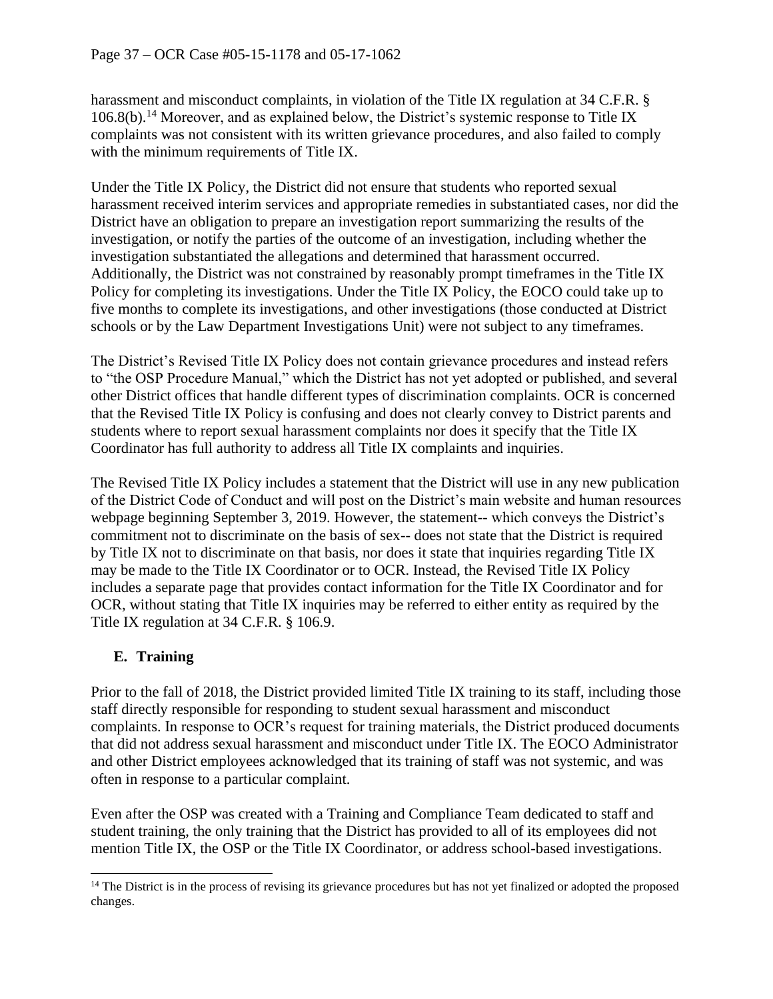harassment and misconduct complaints, in violation of the Title IX regulation at 34 C.F.R. §  $106.8(b)$ <sup>14</sup> Moreover, and as explained below, the District's systemic response to Title IX complaints was not consistent with its written grievance procedures, and also failed to comply with the minimum requirements of Title IX.

Under the Title IX Policy, the District did not ensure that students who reported sexual harassment received interim services and appropriate remedies in substantiated cases, nor did the District have an obligation to prepare an investigation report summarizing the results of the investigation, or notify the parties of the outcome of an investigation, including whether the investigation substantiated the allegations and determined that harassment occurred. Additionally, the District was not constrained by reasonably prompt timeframes in the Title IX Policy for completing its investigations. Under the Title IX Policy, the EOCO could take up to five months to complete its investigations, and other investigations (those conducted at District schools or by the Law Department Investigations Unit) were not subject to any timeframes.

The District's Revised Title IX Policy does not contain grievance procedures and instead refers to "the OSP Procedure Manual," which the District has not yet adopted or published, and several other District offices that handle different types of discrimination complaints. OCR is concerned that the Revised Title IX Policy is confusing and does not clearly convey to District parents and students where to report sexual harassment complaints nor does it specify that the Title IX Coordinator has full authority to address all Title IX complaints and inquiries.

The Revised Title IX Policy includes a statement that the District will use in any new publication of the District Code of Conduct and will post on the District's main website and human resources webpage beginning September 3, 2019. However, the statement-- which conveys the District's commitment not to discriminate on the basis of sex-- does not state that the District is required by Title IX not to discriminate on that basis, nor does it state that inquiries regarding Title IX may be made to the Title IX Coordinator or to OCR. Instead, the Revised Title IX Policy includes a separate page that provides contact information for the Title IX Coordinator and for OCR, without stating that Title IX inquiries may be referred to either entity as required by the Title IX regulation at 34 C.F.R. § 106.9.

# **E. Training**

Prior to the fall of 2018, the District provided limited Title IX training to its staff, including those staff directly responsible for responding to student sexual harassment and misconduct complaints. In response to OCR's request for training materials, the District produced documents that did not address sexual harassment and misconduct under Title IX. The EOCO Administrator and other District employees acknowledged that its training of staff was not systemic, and was often in response to a particular complaint.

Even after the OSP was created with a Training and Compliance Team dedicated to staff and student training, the only training that the District has provided to all of its employees did not mention Title IX, the OSP or the Title IX Coordinator, or address school-based investigations.

<sup>&</sup>lt;sup>14</sup> The District is in the process of revising its grievance procedures but has not yet finalized or adopted the proposed changes.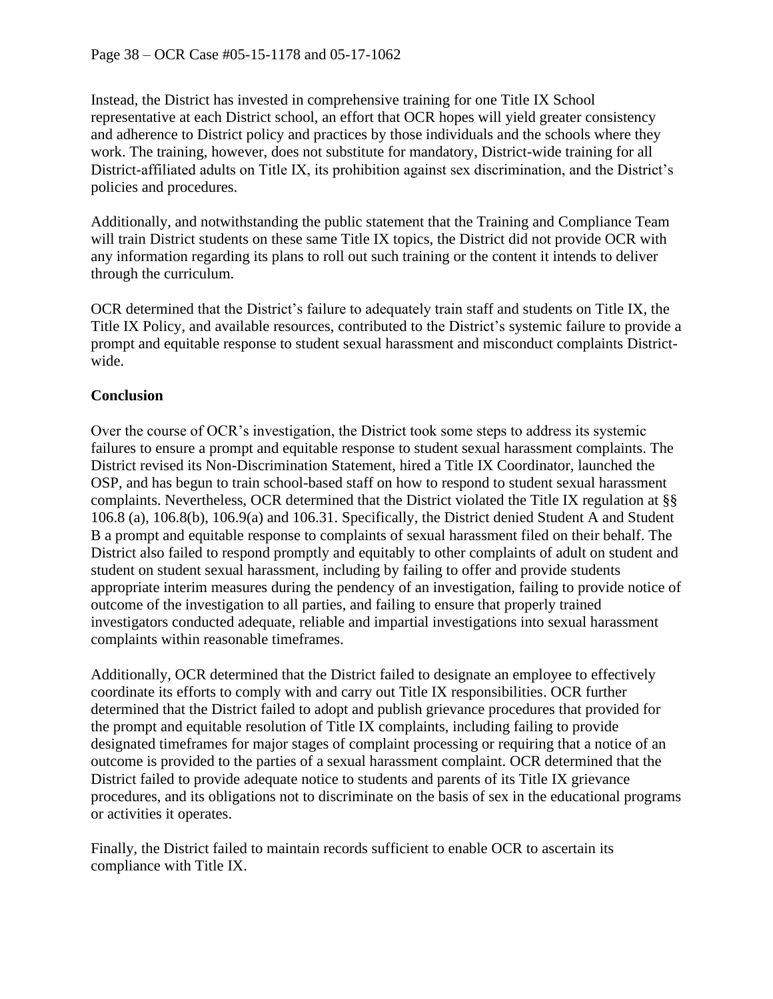Instead, the District has invested in comprehensive training for one Title IX School representative at each District school, an effort that OCR hopes will yield greater consistency and adherence to District policy and practices by those individuals and the schools where they work. The training, however, does not substitute for mandatory, District-wide training for all District-affiliated adults on Title IX, its prohibition against sex discrimination, and the District's policies and procedures.

Additionally, and notwithstanding the public statement that the Training and Compliance Team will train District students on these same Title IX topics, the District did not provide OCR with any information regarding its plans to roll out such training or the content it intends to deliver through the curriculum.

OCR determined that the District's failure to adequately train staff and students on Title IX, the Title IX Policy, and available resources, contributed to the District's systemic failure to provide a prompt and equitable response to student sexual harassment and misconduct complaints Districtwide.

#### **Conclusion**

Over the course of OCR's investigation, the District took some steps to address its systemic failures to ensure a prompt and equitable response to student sexual harassment complaints. The District revised its Non-Discrimination Statement, hired a Title IX Coordinator, launched the OSP, and has begun to train school-based staff on how to respond to student sexual harassment complaints. Nevertheless, OCR determined that the District violated the Title IX regulation at §§ 106.8 (a), 106.8(b), 106.9(a) and 106.31. Specifically, the District denied Student A and Student B a prompt and equitable response to complaints of sexual harassment filed on their behalf. The District also failed to respond promptly and equitably to other complaints of adult on student and student on student sexual harassment, including by failing to offer and provide students appropriate interim measures during the pendency of an investigation, failing to provide notice of outcome of the investigation to all parties, and failing to ensure that properly trained investigators conducted adequate, reliable and impartial investigations into sexual harassment complaints within reasonable timeframes.

Additionally, OCR determined that the District failed to designate an employee to effectively coordinate its efforts to comply with and carry out Title IX responsibilities. OCR further determined that the District failed to adopt and publish grievance procedures that provided for the prompt and equitable resolution of Title IX complaints, including failing to provide designated timeframes for major stages of complaint processing or requiring that a notice of an outcome is provided to the parties of a sexual harassment complaint. OCR determined that the District failed to provide adequate notice to students and parents of its Title IX grievance procedures, and its obligations not to discriminate on the basis of sex in the educational programs or activities it operates.

Finally, the District failed to maintain records sufficient to enable OCR to ascertain its compliance with Title IX.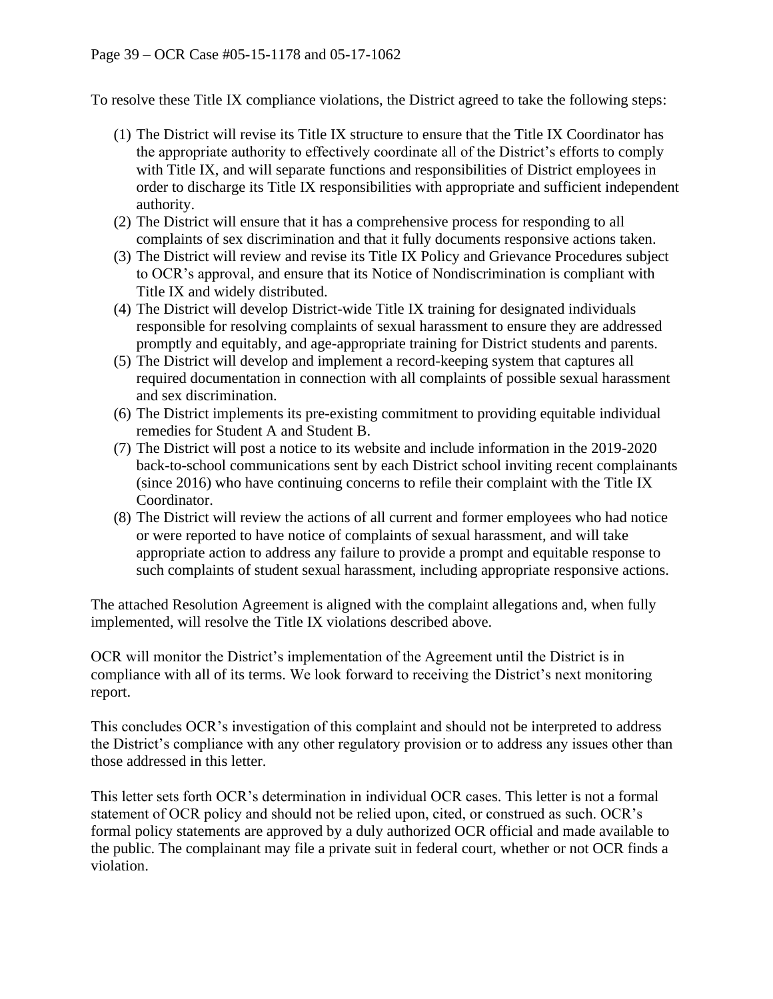To resolve these Title IX compliance violations, the District agreed to take the following steps:

- (1) The District will revise its Title IX structure to ensure that the Title IX Coordinator has the appropriate authority to effectively coordinate all of the District's efforts to comply with Title IX, and will separate functions and responsibilities of District employees in order to discharge its Title IX responsibilities with appropriate and sufficient independent authority.
- (2) The District will ensure that it has a comprehensive process for responding to all complaints of sex discrimination and that it fully documents responsive actions taken.
- (3) The District will review and revise its Title IX Policy and Grievance Procedures subject to OCR's approval, and ensure that its Notice of Nondiscrimination is compliant with Title IX and widely distributed.
- (4) The District will develop District-wide Title IX training for designated individuals responsible for resolving complaints of sexual harassment to ensure they are addressed promptly and equitably, and age-appropriate training for District students and parents.
- (5) The District will develop and implement a record-keeping system that captures all required documentation in connection with all complaints of possible sexual harassment and sex discrimination.
- (6) The District implements its pre-existing commitment to providing equitable individual remedies for Student A and Student B.
- (7) The District will post a notice to its website and include information in the 2019-2020 back-to-school communications sent by each District school inviting recent complainants (since 2016) who have continuing concerns to refile their complaint with the Title IX Coordinator.
- (8) The District will review the actions of all current and former employees who had notice or were reported to have notice of complaints of sexual harassment, and will take appropriate action to address any failure to provide a prompt and equitable response to such complaints of student sexual harassment, including appropriate responsive actions.

The attached Resolution Agreement is aligned with the complaint allegations and, when fully implemented, will resolve the Title IX violations described above.

OCR will monitor the District's implementation of the Agreement until the District is in compliance with all of its terms. We look forward to receiving the District's next monitoring report.

This concludes OCR's investigation of this complaint and should not be interpreted to address the District's compliance with any other regulatory provision or to address any issues other than those addressed in this letter.

This letter sets forth OCR's determination in individual OCR cases. This letter is not a formal statement of OCR policy and should not be relied upon, cited, or construed as such. OCR's formal policy statements are approved by a duly authorized OCR official and made available to the public. The complainant may file a private suit in federal court, whether or not OCR finds a violation.